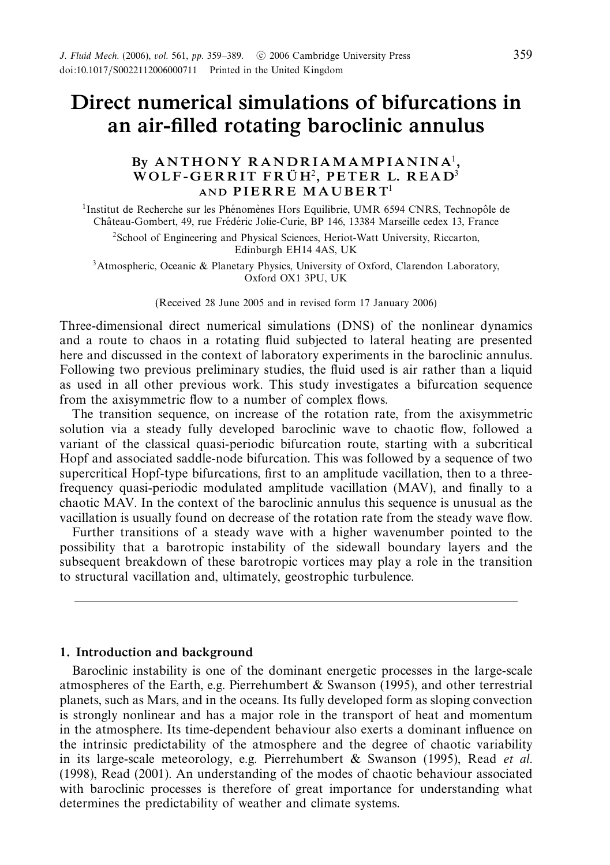# *Direct numerical simulations of bifurcations in an air-filled rotating baroclinic annulus*

# *By A N T H O N Y R A N D R I AM AM P I A N I N A*<sup>1</sup>*, WOLF-GERRIT FRÜH<sup>2</sup>, PETER L. READ<sup>3</sup> AND PIERRE MAUBERT*<sup>1</sup>

 $<sup>1</sup>$ Institut de Recherche sur les Phénomènes Hors Equilibrie, UMR 6594 CNRS, Technopôle de</sup> Château-Gombert, 49, rue Frédéric Jolie-Curie, BP 146, 13384 Marseille cedex 13, France

<sup>2</sup>School of Engineering and Physical Sciences, Heriot-Watt University, Riccarton, Edinburgh EH14 4AS, UK

3Atmospheric, Oceanic & Planetary Physics, University of Oxford, Clarendon Laboratory, Oxford OX1 3PU, UK

(Received 28 June 2005 and in revised form 17 January 2006)

Three-dimensional direct numerical simulations (DNS) of the nonlinear dynamics and a route to chaos in a rotating fluid subjected to lateral heating are presented here and discussed in the context of laboratory experiments in the baroclinic annulus. Following two previous preliminary studies, the fluid used is air rather than a liquid as used in all other previous work. This study investigates a bifurcation sequence from the axisymmetric flow to a number of complex flows.

The transition sequence, on increase of the rotation rate, from the axisymmetric solution via a steady fully developed baroclinic wave to chaotic flow, followed a variant of the classical quasi-periodic bifurcation route, starting with a subcritical Hopf and associated saddle-node bifurcation. This was followed by a sequence of two supercritical Hopf-type bifurcations, first to an amplitude vacillation, then to a threefrequency quasi-periodic modulated amplitude vacillation (MAV), and finally to a chaotic MAV. In the context of the baroclinic annulus this sequence is unusual as the vacillation is usually found on decrease of the rotation rate from the steady wave flow.

Further transitions of a steady wave with a higher wavenumber pointed to the possibility that a barotropic instability of the sidewall boundary layers and the subsequent breakdown of these barotropic vortices may play a role in the transition to structural vacillation and, ultimately, geostrophic turbulence.

# *1. Introduction and background*

Baroclinic instability is one of the dominant energetic processes in the large-scale atmospheres of the Earth, e.g. Pierrehumbert & Swanson (1995), and other terrestrial planets, such as Mars, and in the oceans. Its fully developed form as sloping convection is strongly nonlinear and has a major role in the transport of heat and momentum in the atmosphere. Its time-dependent behaviour also exerts a dominant influence on the intrinsic predictability of the atmosphere and the degree of chaotic variability in its large-scale meteorology, e.g. Pierrehumbert & Swanson (1995), Read *et al.* (1998), Read (2001). An understanding of the modes of chaotic behaviour associated with baroclinic processes is therefore of great importance for understanding what determines the predictability of weather and climate systems.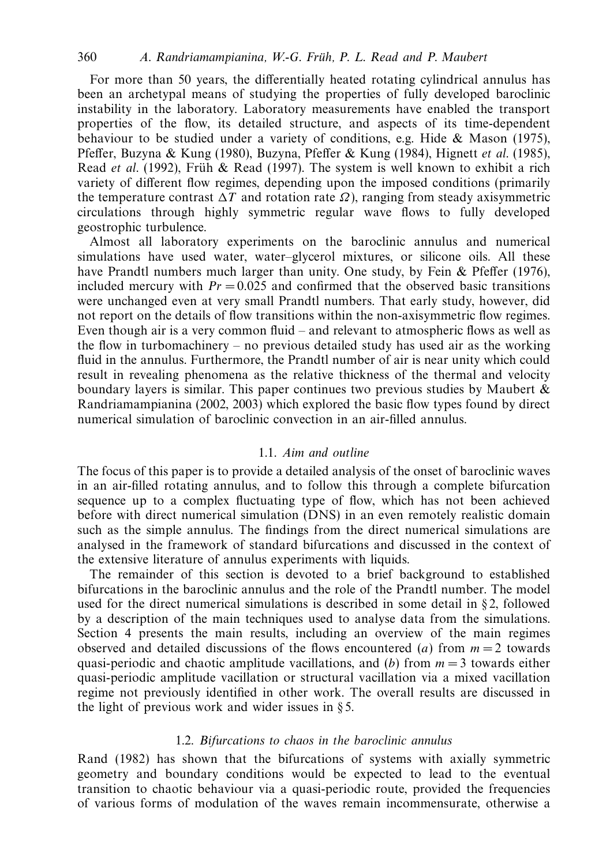For more than 50 years, the differentially heated rotating cylindrical annulus has been an archetypal means of studying the properties of fully developed baroclinic instability in the laboratory. Laboratory measurements have enabled the transport properties of the flow, its detailed structure, and aspects of its time-dependent behaviour to be studied under a variety of conditions, e.g. Hide  $\&$  Mason (1975), Pfeffer, Buzyna & Kung (1980), Buzyna, Pfeffer & Kung (1984), Hignett et al. (1985), Read et al. (1992), Früh & Read (1997). The system is well known to exhibit a rich variety of different flow regimes, depending upon the imposed conditions (primarily the temperature contrast  $\Delta T$  and rotation rate  $\Omega$ ), ranging from steady axisymmetric circulations through highly symmetric regular wave flows to fully developed geostrophic turbulence.

Almost all laboratory experiments on the baroclinic annulus and numerical simulations have used water, water–glycerol mixtures, or silicone oils. All these have Prandtl numbers much larger than unity. One study, by Fein & Pfeffer (1976), included mercury with  $Pr = 0.025$  and confirmed that the observed basic transitions were unchanged even at very small Prandtl numbers. That early study, however, did not report on the details of flow transitions within the non-axisymmetric flow regimes. Even though air is a very common fluid – and relevant to atmospheric flows as well as the flow in turbomachinery – no previous detailed study has used air as the working fluid in the annulus. Furthermore, the Prandtl number of air is near unity which could result in revealing phenomena as the relative thickness of the thermal and velocity boundary layers is similar. This paper continues two previous studies by Maubert  $\&$ Randriamampianina (2002, 2003) which explored the basic flow types found by direct numerical simulation of baroclinic convection in an air-filled annulus.

# 1.1. Aim and outline

The focus of this paper is to provide a detailed analysis of the onset of baroclinic waves in an air-filled rotating annulus, and to follow this through a complete bifurcation sequence up to a complex fluctuating type of flow, which has not been achieved before with direct numerical simulation (DNS) in an even remotely realistic domain such as the simple annulus. The findings from the direct numerical simulations are analysed in the framework of standard bifurcations and discussed in the context of the extensive literature of annulus experiments with liquids.

The remainder of this section is devoted to a brief background to established bifurcations in the baroclinic annulus and the role of the Prandtl number. The model used for the direct numerical simulations is described in some detail in  $\S$ 2, followed by a description of the main techniques used to analyse data from the simulations. Section 4 presents the main results, including an overview of the main regimes observed and detailed discussions of the flows encountered (*a*) from  $m = 2$  towards quasi-periodic and chaotic amplitude vacillations, and (*b*) from  $m = 3$  towards either quasi-periodic amplitude vacillation or structural vacillation via a mixed vacillation regime not previously identified in other work. The overall results are discussed in the light of previous work and wider issues in § 5.

## 1.2. Bifurcations to chaos in the baroclinic annulus

Rand (1982) has shown that the bifurcations of systems with axially symmetric geometry and boundary conditions would be expected to lead to the eventual transition to chaotic behaviour via a quasi-periodic route, provided the frequencies of various forms of modulation of the waves remain incommensurate, otherwise a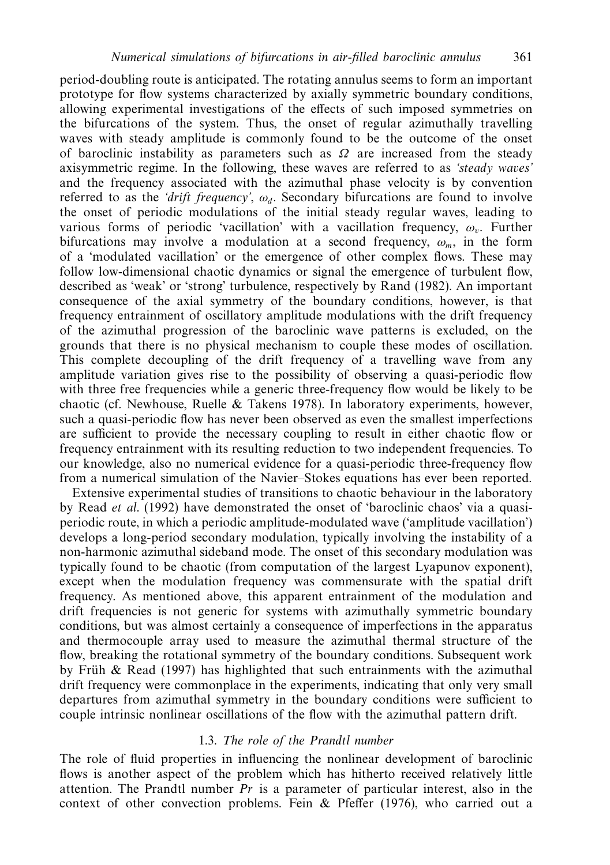period-doubling route is anticipated. The rotating annulus seems to form an important prototype for flow systems characterized by axially symmetric boundary conditions, allowing experimental investigations of the effects of such imposed symmetries on the bifurcations of the system. Thus, the onset of regular azimuthally travelling waves with steady amplitude is commonly found to be the outcome of the onset of baroclinic instability as parameters such as  $\Omega$  are increased from the steady axisymmetric regime. In the following, these waves are referred to as 'steady waves' and the frequency associated with the azimuthal phase velocity is by convention referred to as the *'drift frequency'*,  $\omega_d$ . Secondary bifurcations are found to involve the onset of periodic modulations of the initial steady regular waves, leading to various forms of periodic 'vacillation' with a vacillation frequency,  $\omega_v$ . Further bifurcations may involve a modulation at a second frequency,  $\omega_m$ , in the form of a 'modulated vacillation' or the emergence of other complex flows. These may follow low-dimensional chaotic dynamics or signal the emergence of turbulent flow, described as 'weak' or 'strong' turbulence, respectively by Rand (1982). An important consequence of the axial symmetry of the boundary conditions, however, is that frequency entrainment of oscillatory amplitude modulations with the drift frequency of the azimuthal progression of the baroclinic wave patterns is excluded, on the grounds that there is no physical mechanism to couple these modes of oscillation. This complete decoupling of the drift frequency of a travelling wave from any amplitude variation gives rise to the possibility of observing a quasi-periodic flow with three free frequencies while a generic three-frequency flow would be likely to be chaotic (cf. Newhouse, Ruelle  $&$  Takens 1978). In laboratory experiments, however, such a quasi-periodic flow has never been observed as even the smallest imperfections are sufficient to provide the necessary coupling to result in either chaotic flow or frequency entrainment with its resulting reduction to two independent frequencies. To our knowledge, also no numerical evidence for a quasi-periodic three-frequency flow from a numerical simulation of the Navier–Stokes equations has ever been reported.

Extensive experimental studies of transitions to chaotic behaviour in the laboratory by Read et al. (1992) have demonstrated the onset of 'baroclinic chaos' via a quasiperiodic route, in which a periodic amplitude-modulated wave ('amplitude vacillation') develops a long-period secondary modulation, typically involving the instability of a non-harmonic azimuthal sideband mode. The onset of this secondary modulation was typically found to be chaotic (from computation of the largest Lyapunov exponent), except when the modulation frequency was commensurate with the spatial drift frequency. As mentioned above, this apparent entrainment of the modulation and drift frequencies is not generic for systems with azimuthally symmetric boundary conditions, but was almost certainly a consequence of imperfections in the apparatus and thermocouple array used to measure the azimuthal thermal structure of the flow, breaking the rotational symmetry of the boundary conditions. Subsequent work by Früh & Read (1997) has highlighted that such entrainments with the azimuthal drift frequency were commonplace in the experiments, indicating that only very small departures from azimuthal symmetry in the boundary conditions were sufficient to couple intrinsic nonlinear oscillations of the flow with the azimuthal pattern drift.

## 1.3. The role of the Prandtl number

The role of fluid properties in influencing the nonlinear development of baroclinic flows is another aspect of the problem which has hitherto received relatively little attention. The Prandtl number  $Pr$  is a parameter of particular interest, also in the context of other convection problems. Fein & Pfeffer (1976), who carried out a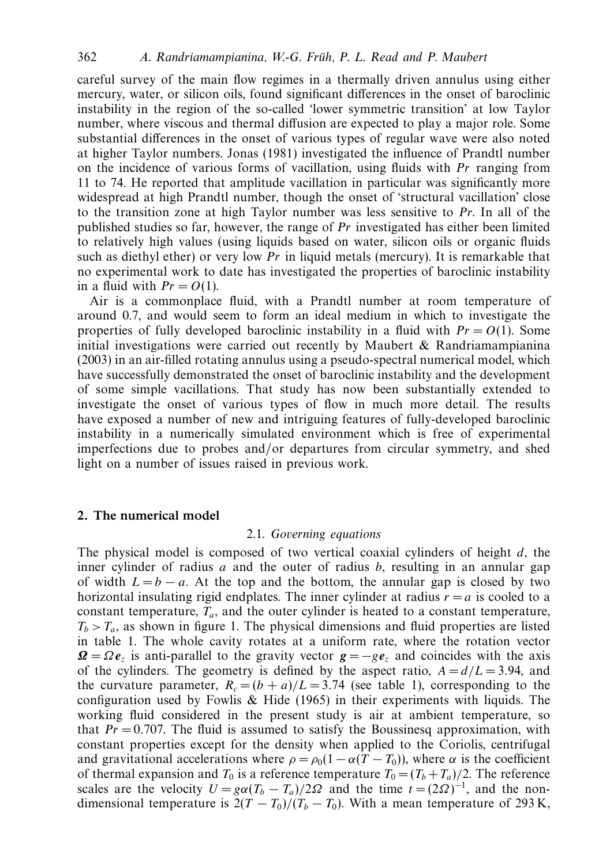careful survey of the main flow regimes in a thermally driven annulus using either mercury, water, or silicon oils, found significant differences in the onset of baroclinic instability in the region of the so-called 'lower symmetric transition' at low Taylor number, where viscous and thermal diffusion are expected to play a major role. Some substantial differences in the onset of various types of regular wave were also noted at higher Taylor numbers. Jonas (1981) investigated the influence of Prandtl number on the incidence of various forms of vacillation, using fluids with Pr ranging from 11 to 74. He reported that amplitude vacillation in particular was significantly more widespread at high Prandtl number, though the onset of 'structural vacillation' close to the transition zone at high Taylor number was less sensitive to Pr. In all of the published studies so far, however, the range of  $Pr$  investigated has either been limited to relatively high values (using liquids based on water, silicon oils or organic fluids such as diethyl ether) or very low  $Pr$  in liquid metals (mercury). It is remarkable that no experimental work to date has investigated the properties of baroclinic instability in a fluid with  $Pr = O(1)$ .

Air is a commonplace fluid, with a Prandtl number at room temperature of around 0.7, and would seem to form an ideal medium in which to investigate the properties of fully developed baroclinic instability in a fluid with  $Pr = O(1)$ . Some initial investigations were carried out recently by Maubert  $\&$  Randriamampianina (2003) in an air-filled rotating annulus using a pseudo-spectral numerical model, which have successfully demonstrated the onset of baroclinic instability and the development of some simple vacillations. That study has now been substantially extended to investigate the onset of various types of flow in much more detail. The results have exposed a number of new and intriguing features of fully-developed baroclinic instability in a numerically simulated environment which is free of experimental imperfections due to probes and/or departures from circular symmetry, and shed light on a number of issues raised in previous work.

## *2. The numerical model*

### 2.1. Governing equations

The physical model is composed of two vertical coaxial cylinders of height *d*, the inner cylinder of radius *a* and the outer of radius *b*, resulting in an annular gap of width  $L = b - a$ . At the top and the bottom, the annular gap is closed by two horizontal insulating rigid endplates. The inner cylinder at radius  $r = a$  is cooled to a constant temperature,  $T_a$ , and the outer cylinder is heated to a constant temperature,  $T_b > T_a$ , as shown in figure 1. The physical dimensions and fluid properties are listed in table 1. The whole cavity rotates at a uniform rate, where the rotation vector  $\Omega = \Omega e_{\overline{z}}$  is anti-parallel to the gravity vector  $g = -ge_z$  and coincides with the axis of the cylinders. The geometry is defined by the aspect ratio,  $A = d/L = 3.94$ , and the curvature parameter,  $R_c = (b + a)/L = 3.74$  (see table 1), corresponding to the configuration used by Fowlis  $\&$  Hide (1965) in their experiments with liquids. The working fluid considered in the present study is air at ambient temperature, so that  $Pr = 0.707$ . The fluid is assumed to satisfy the Boussinesq approximation, with constant properties except for the density when applied to the Coriolis, centrifugal and gravitational accelerations where  $\rho = \rho_0(1 - \alpha(T - T_0))$ , where  $\alpha$  is the coefficient of thermal expansion and  $T_0$  is a reference temperature  $T_0 = (T_b + T_a)/2$ . The reference scales are the velocity  $U = g\alpha (T_b - T_a)/2\Omega$  and the time  $t = (2\Omega)^{-1}$ , and the nondimensional temperature is  $2(T - T_0)/(T_b - T_0)$ . With a mean temperature of 293 K,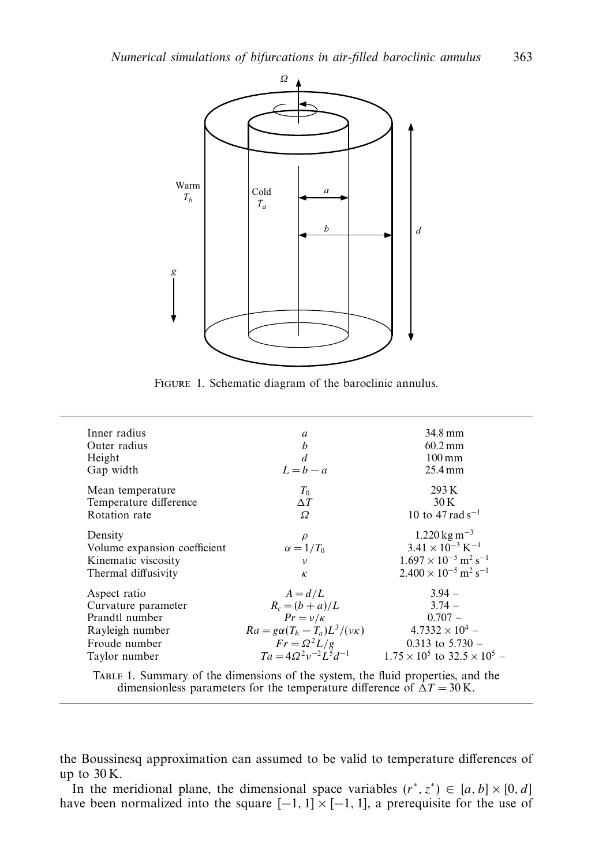

FIGURE 1. Schematic diagram of the baroclinic annulus.

| Inner radius                 | a                                         | 34.8 mm                                               |
|------------------------------|-------------------------------------------|-------------------------------------------------------|
| Outer radius                 | b                                         | $60.2 \,\mathrm{mm}$                                  |
| Height                       | d                                         | $100 \,\mathrm{mm}$                                   |
| Gap width                    | $L = b - a$                               | $25.4 \text{ mm}$                                     |
| Mean temperature             | $T_0$                                     | 293K                                                  |
| Temperature difference       | $\Delta T$                                | 30 K                                                  |
| Rotation rate                | Ω                                         | 10 to 47 rad s <sup>-1</sup>                          |
| Density                      | $\rho$                                    | $1.220 \,\mathrm{kg} \,\mathrm{m}^{-3}$               |
| Volume expansion coefficient | $\alpha = 1/T_0$                          | $3.41 \times 10^{-3}$ K <sup>-1</sup>                 |
| Kinematic viscosity          | ν                                         | $1.697 \times 10^{-5}$ m <sup>2</sup> s <sup>-1</sup> |
| Thermal diffusivity          | $\kappa$                                  | $2.400 \times 10^{-5}$ m <sup>2</sup> s <sup>-1</sup> |
| Aspect ratio                 | $A = d/L$                                 | $3.94 -$                                              |
| Curvature parameter          | $R_c = (b + a)/L$                         | $3.74 -$                                              |
| Prandtl number               | $Pr = v/k$                                | $0.707 -$                                             |
| Rayleigh number              | $Ra = g\alpha (T_b - T_a)L^3/(\nu\kappa)$ | $4.7332 \times 10^{4}$ –                              |
| Froude number                | $Fr = \Omega^2 L/g$                       | 0.313 to $5.730 -$                                    |
| Taylor number                | $Ta = 4Q^2v^{-2}L^5d^{-1}$                | $1.75 \times 10^5$ to $32.5 \times 10^5$ -            |

Table 1. Summary of the dimensions of the system, the fluid properties, and the dimensionless parameters for the temperature difference of  $\Delta T = 30$  K.

the Boussinesq approximation can assumed to be valid to temperature differences of up to  $30 K$ .

In the meridional plane, the dimensional space variables  $(r^*, z^*) \in [a, b] \times [0, d]$ have been normalized into the square  $[-1, 1] \times [-1, 1]$ , a prerequisite for the use of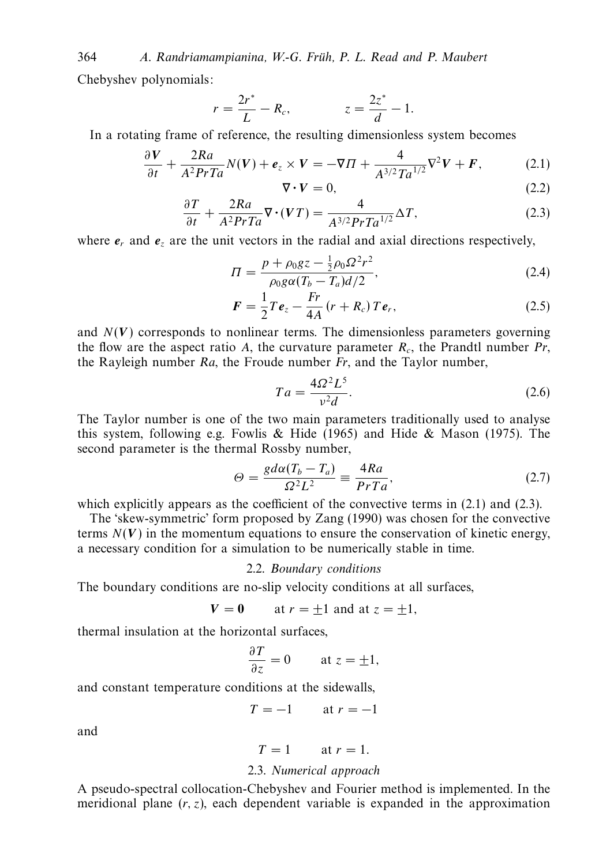364 A. Randriamampianina, W.-G. Früh, P. L. Read and P. Maubert Chebyshev polynomials:

$$
r = \frac{2r^*}{L} - R_c, \qquad z = \frac{2z^*}{d} - 1.
$$

In a rotating frame of reference, the resulting dimensionless system becomes

$$
\frac{\partial V}{\partial t} + \frac{2Ra}{A^2PrTa}N(V) + \mathbf{e}_z \times V = -\nabla\Pi + \frac{4}{A^{3/2}Ta^{1/2}}\nabla^2V + \mathbf{F},\tag{2.1}
$$

$$
\nabla \cdot \mathbf{V} = 0,\tag{2.2}
$$

$$
\frac{\partial T}{\partial t} + \frac{2Ra}{A^2PrTa} \nabla \cdot (VT) = \frac{4}{A^{3/2}PrTa^{1/2}} \Delta T,\tag{2.3}
$$

where  $e_r$  and  $e_z$  are the unit vectors in the radial and axial directions respectively,

$$
\Pi = \frac{p + \rho_0 gz - \frac{1}{2}\rho_0 \Omega^2 r^2}{\rho_0 g \alpha (T_b - T_a) d/2},\tag{2.4}
$$

$$
\boldsymbol{F} = \frac{1}{2} \boldsymbol{T} \boldsymbol{e}_z - \frac{F \boldsymbol{r}}{4A} \left( \boldsymbol{r} + \boldsymbol{R}_c \right) \boldsymbol{T} \boldsymbol{e}_r, \tag{2.5}
$$

and  $N(V)$  corresponds to nonlinear terms. The dimensionless parameters governing the flow are the aspect ratio *A*, the curvature parameter  $R_c$ , the Prandtl number  $Pr$ , the Rayleigh number  $Ra$ , the Froude number  $Fr$ , and the Taylor number,

$$
Ta = \frac{4\Omega^2 L^5}{v^2 d}.
$$
\n
$$
(2.6)
$$

The Taylor number is one of the two main parameters traditionally used to analyse this system, following e.g. Fowlis & Hide (1965) and Hide & Mason (1975). The second parameter is the thermal Rossby number,

$$
\Theta = \frac{g d\alpha (T_b - T_a)}{\Omega^2 L^2} \equiv \frac{4Ra}{PrTa},\tag{2.7}
$$

which explicitly appears as the coefficient of the convective terms in  $(2.1)$  and  $(2.3)$ .

The 'skew-symmetric' form proposed by Zang (1990) was chosen for the convective terms  $N(V)$  in the momentum equations to ensure the conservation of kinetic energy, a necessary condition for a simulation to be numerically stable in time.

## 2.2. Boundary conditions

The boundary conditions are no-slip velocity conditions at all surfaces,

$$
V = 0 \qquad \text{at } r = \pm 1 \text{ and at } z = \pm 1,
$$

thermal insulation at the horizontal surfaces,

$$
\frac{\partial T}{\partial z} = 0 \quad \text{at } z = \pm 1,
$$

and constant temperature conditions at the sidewalls,

$$
T = -1 \qquad \text{at } r = -1
$$

and

$$
T = 1 \qquad \text{at } r = 1.
$$

## 2.3. Numerical approach

A pseudo-spectral collocation-Chebyshev and Fourier method is implemented. In the meridional plane (*r, z*), each dependent variable is expanded in the approximation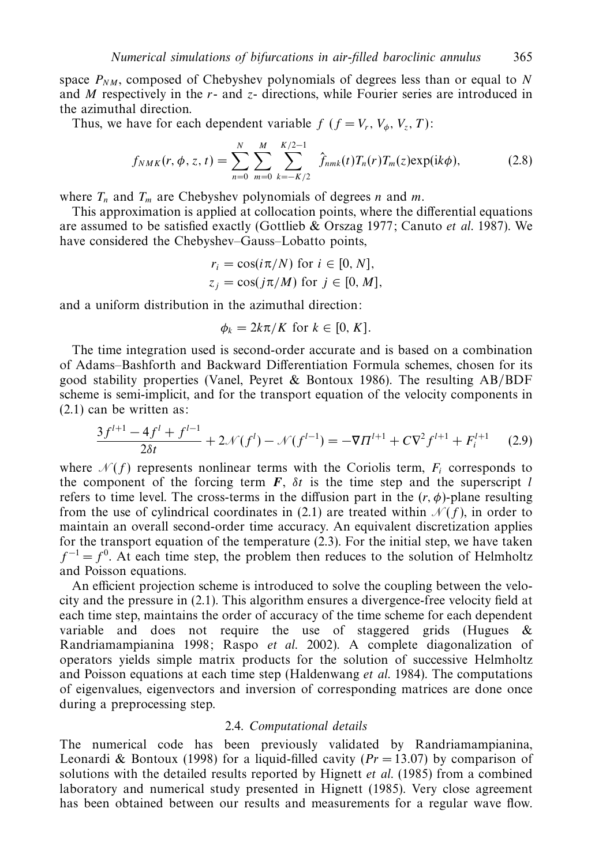space  $P_{NM}$ , composed of Chebyshev polynomials of degrees less than or equal to N and *M* respectively in the *r*- and *z*- directions, while Fourier series are introduced in the azimuthal direction.

Thus, we have for each dependent variable  $f$  ( $f = V_r$ ,  $V_a$ ,  $V_z$ ,  $T$ ):

$$
f_{NMK}(r, \phi, z, t) = \sum_{n=0}^{N} \sum_{m=0}^{M} \sum_{k=-K/2}^{K/2-1} \hat{f}_{nmk}(t) T_n(r) T_m(z) \exp(ik\phi),
$$
 (2.8)

where  $T_n$  and  $T_m$  are Chebyshev polynomials of degrees *n* and *m*.

This approximation is applied at collocation points, where the differential equations are assumed to be satisfied exactly (Gottlieb & Orszag 1977; Canuto et al. 1987). We have considered the Chebyshev–Gauss–Lobatto points,

$$
r_i = \cos(i\pi/N) \text{ for } i \in [0, N],
$$
  
\n
$$
z_j = \cos(j\pi/M) \text{ for } j \in [0, M],
$$

and a uniform distribution in the azimuthal direction:

$$
\phi_k = 2k\pi/K \text{ for } k \in [0, K].
$$

The time integration used is second-order accurate and is based on a combination of Adams–Bashforth and Backward Differentiation Formula schemes, chosen for its good stability properties (Vanel, Peyret & Bontoux 1986). The resulting AB/BDF scheme is semi-implicit, and for the transport equation of the velocity components in (2.1) can be written as:

$$
\frac{3f^{l+1} - 4f^l + f^{l-1}}{2\delta t} + 2\mathcal{N}(f^l) - \mathcal{N}(f^{l-1}) = -\nabla \Pi^{l+1} + C\nabla^2 f^{l+1} + F_i^{l+1} \tag{2.9}
$$

where  $\mathcal{N}(f)$  represents nonlinear terms with the Coriolis term,  $F_i$  corresponds to the component of the forcing term  $\vec{F}$ ,  $\delta t$  is the time step and the superscript *l* refers to time level. The cross-terms in the diffusion part in the  $(r, \phi)$ -plane resulting from the use of cylindrical coordinates in (2.1) are treated within  $\mathcal{N}(f)$ , in order to maintain an overall second-order time accuracy. An equivalent discretization applies for the transport equation of the temperature (2.3). For the initial step, we have taken  $f^{-1} = f^{0}$ . At each time step, the problem then reduces to the solution of Helmholtz and Poisson equations.

An efficient projection scheme is introduced to solve the coupling between the velocity and the pressure in (2.1). This algorithm ensures a divergence-free velocity field at each time step, maintains the order of accuracy of the time scheme for each dependent variable and does not require the use of staggered grids (Hugues  $\&$ Randriamampianina 1998; Raspo et al. 2002). A complete diagonalization of operators yields simple matrix products for the solution of successive Helmholtz and Poisson equations at each time step (Haldenwang et al. 1984). The computations of eigenvalues, eigenvectors and inversion of corresponding matrices are done once during a preprocessing step.

### 2.4. Computational details

The numerical code has been previously validated by Randriamampianina, Leonardi & Bontoux (1998) for a liquid-filled cavity  $(Pr = 13.07)$  by comparison of solutions with the detailed results reported by Hignett *et al.* (1985) from a combined laboratory and numerical study presented in Hignett (1985). Very close agreement has been obtained between our results and measurements for a regular wave flow.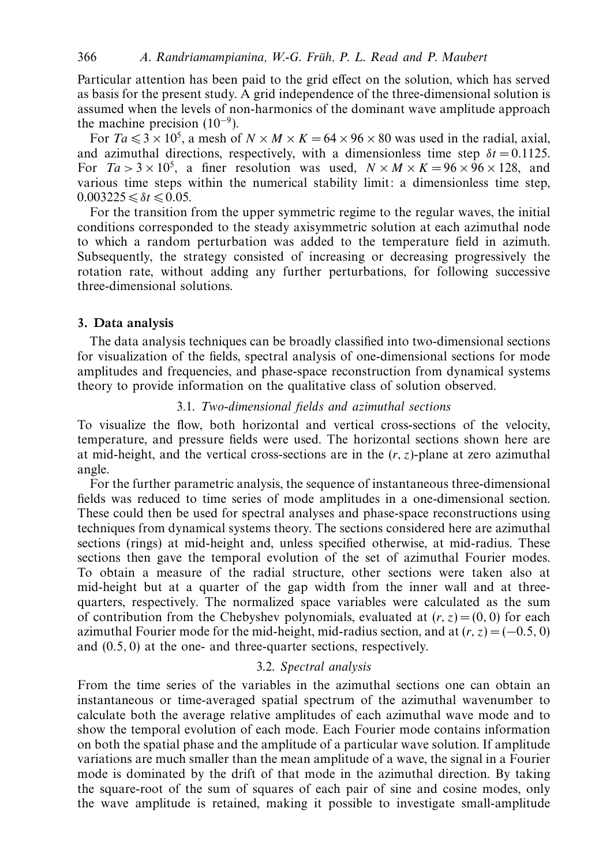Particular attention has been paid to the grid effect on the solution, which has served as basis for the present study. A grid independence of the three-dimensional solution is assumed when the levels of non-harmonics of the dominant wave amplitude approach the machine precision  $(10^{-9})$ .

For  $Ta \leq 3 \times 10^5$ , a mesh of  $N \times M \times K = 64 \times 96 \times 80$  was used in the radial, axial, and azimuthal directions, respectively, with a dimensionless time step  $\delta t = 0.1125$ . For  $Ta > 3 \times 10^5$ , a finer resolution was used,  $N \times M \times K = 96 \times 96 \times 128$ , and various time steps within the numerical stability limit: a dimensionless time step,  $0.003225 \le \delta t \le 0.05$ .

For the transition from the upper symmetric regime to the regular waves, the initial conditions corresponded to the steady axisymmetric solution at each azimuthal node to which a random perturbation was added to the temperature field in azimuth. Subsequently, the strategy consisted of increasing or decreasing progressively the rotation rate, without adding any further perturbations, for following successive three-dimensional solutions.

# *3. Data analysis*

The data analysis techniques can be broadly classified into two-dimensional sections for visualization of the fields, spectral analysis of one-dimensional sections for mode amplitudes and frequencies, and phase-space reconstruction from dynamical systems theory to provide information on the qualitative class of solution observed.

# 3.1. Two-dimensional fields and azimuthal sections

To visualize the flow, both horizontal and vertical cross-sections of the velocity, temperature, and pressure fields were used. The horizontal sections shown here are at mid-height, and the vertical cross-sections are in the  $(r, z)$ -plane at zero azimuthal angle.

For the further parametric analysis, the sequence of instantaneous three-dimensional fields was reduced to time series of mode amplitudes in a one-dimensional section. These could then be used for spectral analyses and phase-space reconstructions using techniques from dynamical systems theory. The sections considered here are azimuthal sections (rings) at mid-height and, unless specified otherwise, at mid-radius. These sections then gave the temporal evolution of the set of azimuthal Fourier modes. To obtain a measure of the radial structure, other sections were taken also at mid-height but at a quarter of the gap width from the inner wall and at threequarters, respectively. The normalized space variables were calculated as the sum of contribution from the Chebyshev polynomials, evaluated at  $(r, z) = (0, 0)$  for each azimuthal Fourier mode for the mid-height, mid-radius section, and at  $(r, z) = (-0.5, 0)$ and (0*.*5*,* 0) at the one- and three-quarter sections, respectively.

## 3.2. Spectral analysis

From the time series of the variables in the azimuthal sections one can obtain an instantaneous or time-averaged spatial spectrum of the azimuthal wavenumber to calculate both the average relative amplitudes of each azimuthal wave mode and to show the temporal evolution of each mode. Each Fourier mode contains information on both the spatial phase and the amplitude of a particular wave solution. If amplitude variations are much smaller than the mean amplitude of a wave, the signal in a Fourier mode is dominated by the drift of that mode in the azimuthal direction. By taking the square-root of the sum of squares of each pair of sine and cosine modes, only the wave amplitude is retained, making it possible to investigate small-amplitude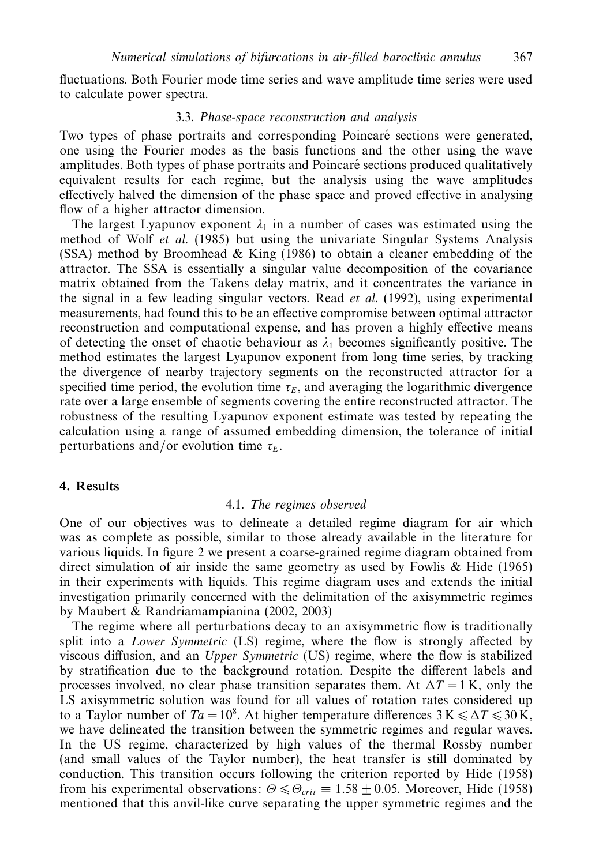fluctuations. Both Fourier mode time series and wave amplitude time series were used to calculate power spectra.

## 3.3. Phase-space reconstruction and analysis

Two types of phase portraits and corresponding Poincaré sections were generated, one using the Fourier modes as the basis functions and the other using the wave amplitudes. Both types of phase portraits and Poincaré sections produced qualitatively equivalent results for each regime, but the analysis using the wave amplitudes effectively halved the dimension of the phase space and proved effective in analysing flow of a higher attractor dimension.

The largest Lyapunov exponent  $\lambda_1$  in a number of cases was estimated using the method of Wolf et al. (1985) but using the univariate Singular Systems Analysis (SSA) method by Broomhead & King (1986) to obtain a cleaner embedding of the attractor. The SSA is essentially a singular value decomposition of the covariance matrix obtained from the Takens delay matrix, and it concentrates the variance in the signal in a few leading singular vectors. Read et al. (1992), using experimental measurements, had found this to be an effective compromise between optimal attractor reconstruction and computational expense, and has proven a highly effective means of detecting the onset of chaotic behaviour as  $\lambda_1$  becomes significantly positive. The method estimates the largest Lyapunov exponent from long time series, by tracking the divergence of nearby trajectory segments on the reconstructed attractor for a specified time period, the evolution time  $\tau_F$ , and averaging the logarithmic divergence rate over a large ensemble of segments covering the entire reconstructed attractor. The robustness of the resulting Lyapunov exponent estimate was tested by repeating the calculation using a range of assumed embedding dimension, the tolerance of initial perturbations and/or evolution time  $\tau_E$ .

## *4. Results*

#### 4.1. The regimes observed

One of our objectives was to delineate a detailed regime diagram for air which was as complete as possible, similar to those already available in the literature for various liquids. In figure 2 we present a coarse-grained regime diagram obtained from direct simulation of air inside the same geometry as used by Fowlis & Hide (1965) in their experiments with liquids. This regime diagram uses and extends the initial investigation primarily concerned with the delimitation of the axisymmetric regimes by Maubert & Randriamampianina (2002, 2003)

The regime where all perturbations decay to an axisymmetric flow is traditionally split into a Lower Symmetric (LS) regime, where the flow is strongly affected by viscous diffusion, and an Upper Symmetric (US) regime, where the flow is stabilized by stratification due to the background rotation. Despite the different labels and processes involved, no clear phase transition separates them. At  $\Delta T = 1$  K, only the LS axisymmetric solution was found for all values of rotation rates considered up to a Taylor number of  $Ta = 10^8$ . At higher temperature differences  $3 K \le \Delta T \le 30 K$ , we have delineated the transition between the symmetric regimes and regular waves. In the US regime, characterized by high values of the thermal Rossby number (and small values of the Taylor number), the heat transfer is still dominated by conduction. This transition occurs following the criterion reported by Hide (1958) from his experimental observations:  $\Theta \leq \Theta_{crit} \equiv 1.58 \pm 0.05$ . Moreover, Hide (1958) mentioned that this anvil-like curve separating the upper symmetric regimes and the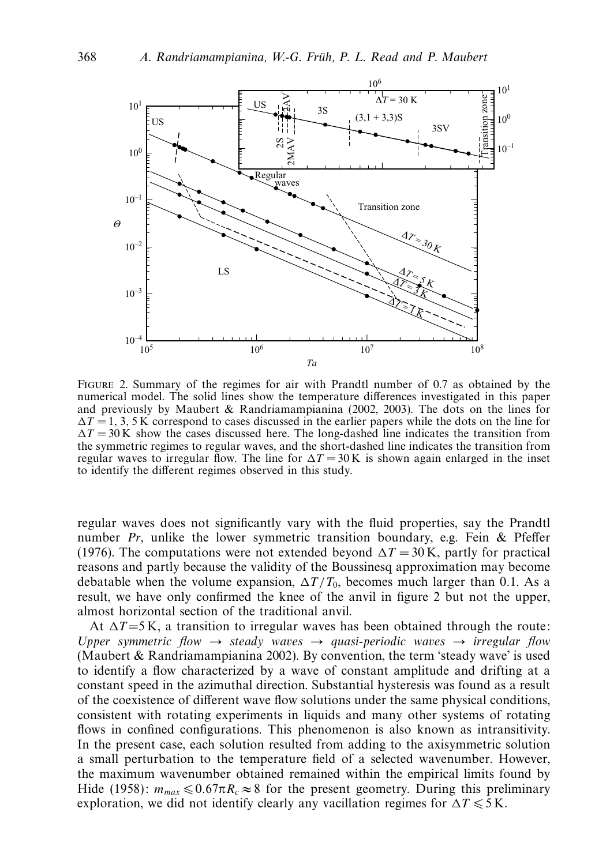

Figure 2. Summary of the regimes for air with Prandtl number of 0.7 as obtained by the numerical model. The solid lines show the temperature differences investigated in this paper and previously by Maubert & Randriamampianina (2002, 2003). The dots on the lines for  $\Delta T = 1, 3, 5$  K correspond to cases discussed in the earlier papers while the dots on the line for  $\Delta T = 30$  K show the cases discussed here. The long-dashed line indicates the transition from the symmetric regimes to regular waves, and the short-dashed line indicates the transition from regular waves to irregular flow. The line for  $\Delta T = 30 \text{ K}$  is shown again enlarged in the inset to identify the different regimes observed in this study.

regular waves does not significantly vary with the fluid properties, say the Prandtl number  $Pr$ , unlike the lower symmetric transition boundary, e.g. Fein & Pfeffer (1976). The computations were not extended beyond  $\Delta T = 30$  K, partly for practical reasons and partly because the validity of the Boussinesq approximation may become debatable when the volume expansion,  $\Delta T/T_0$ , becomes much larger than 0.1. As a result, we have only confirmed the knee of the anvil in figure 2 but not the upper, almost horizontal section of the traditional anvil.

At  $\Delta T = 5$  K, a transition to irregular waves has been obtained through the route: Upper symmetric flow  $\rightarrow$  steady waves  $\rightarrow$  quasi-periodic waves  $\rightarrow$  irregular flow (Maubert & Randriamampianina 2002). By convention, the term 'steady wave' is used to identify a flow characterized by a wave of constant amplitude and drifting at a constant speed in the azimuthal direction. Substantial hysteresis was found as a result of the coexistence of different wave flow solutions under the same physical conditions, consistent with rotating experiments in liquids and many other systems of rotating flows in confined configurations. This phenomenon is also known as intransitivity. In the present case, each solution resulted from adding to the axisymmetric solution a small perturbation to the temperature field of a selected wavenumber. However, the maximum wavenumber obtained remained within the empirical limits found by Hide (1958):  $m_{max} \le 0.67 \pi R_c \approx 8$  for the present geometry. During this preliminary exploration, we did not identify clearly any vacillation regimes for  $\Delta T \le 5$  K.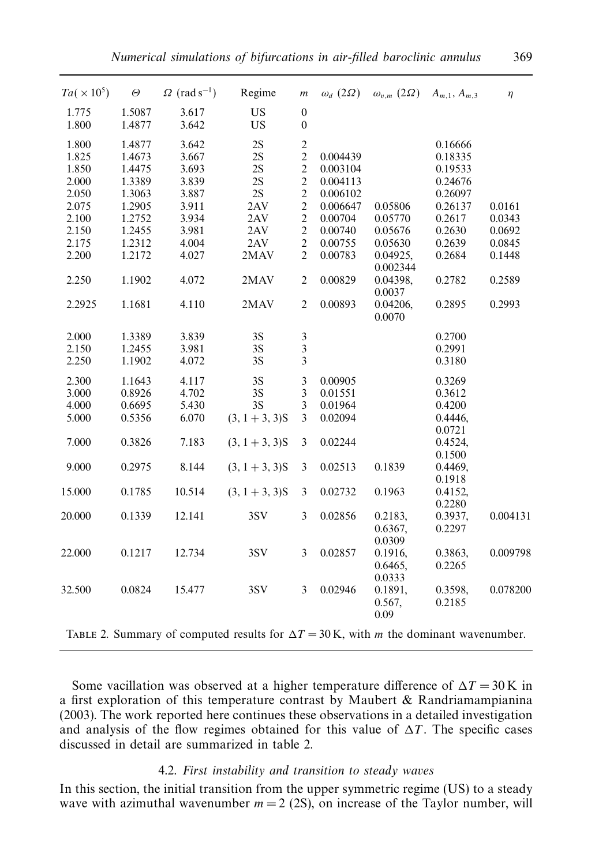| $Ta(\times 10^5)$ | $\boldsymbol{\varTheta}$ | $\Omega$ (rad s <sup>-1</sup> ) | Regime            | $\,m$            | $\omega_d$ (2 $\Omega$ ) |                      | $ω_{v,m}$ (2Ω) $A_{m,1}$ , $A_{m,3}$ | $\eta$   |
|-------------------|--------------------------|---------------------------------|-------------------|------------------|--------------------------|----------------------|--------------------------------------|----------|
| 1.775             | 1.5087                   | 3.617                           | <b>US</b>         | $\boldsymbol{0}$ |                          |                      |                                      |          |
| 1.800             | 1.4877                   | 3.642                           | <b>US</b>         | $\boldsymbol{0}$ |                          |                      |                                      |          |
| 1.800             | 1.4877                   | 3.642                           | 2S                | $\overline{c}$   |                          |                      | 0.16666                              |          |
| 1.825             | 1.4673                   | 3.667                           | 2S                | $\overline{2}$   | 0.004439                 |                      | 0.18335                              |          |
| 1.850             | 1.4475                   | 3.693                           | 2S                | $\mathbf{2}$     | 0.003104                 |                      | 0.19533                              |          |
| 2.000             | 1.3389                   | 3.839                           | 2S                | $\overline{c}$   | 0.004113                 |                      | 0.24676                              |          |
| 2.050             | 1.3063                   | 3.887                           | 2S                | $\overline{2}$   | 0.006102                 |                      | 0.26097                              |          |
| 2.075             | 1.2905                   | 3.911                           | 2AV               | $\overline{c}$   | 0.006647                 | 0.05806              | 0.26137                              | 0.0161   |
| 2.100             | 1.2752                   | 3.934                           | 2AV               | $\overline{c}$   | 0.00704                  | 0.05770              | 0.2617                               | 0.0343   |
| 2.150             | 1.2455                   | 3.981                           | 2AV               | $\overline{2}$   | 0.00740                  | 0.05676              | 0.2630                               | 0.0692   |
| 2.175             | 1.2312                   | 4.004                           | 2AV               | $\sqrt{2}$       | 0.00755                  | 0.05630              | 0.2639                               | 0.0845   |
| 2.200             | 1.2172                   | 4.027                           | 2MAV              | $\overline{2}$   | 0.00783                  | 0.04925,<br>0.002344 | 0.2684                               | 0.1448   |
| 2.250             | 1.1902                   | 4.072                           | 2MAV              | $\overline{c}$   | 0.00829                  | 0.04398,<br>0.0037   | 0.2782                               | 0.2589   |
| 2.2925            | 1.1681                   | 4.110                           | 2MAV              | $\overline{2}$   | 0.00893                  | 0.04206,<br>0.0070   | 0.2895                               | 0.2993   |
| 2.000             | 1.3389                   | 3.839                           | 3S                | $\mathfrak{Z}$   |                          |                      | 0.2700                               |          |
| 2.150             | 1.2455                   | 3.981                           | 3S                | $\overline{3}$   |                          |                      | 0.2991                               |          |
| 2.250             | 1.1902                   | 4.072                           | 3S                | $\overline{3}$   |                          |                      | 0.3180                               |          |
| 2.300             | 1.1643                   | 4.117                           | 3S                | 3                | 0.00905                  |                      | 0.3269                               |          |
| 3.000             | 0.8926                   | 4.702                           | 3S                | 3                | 0.01551                  |                      | 0.3612                               |          |
| 4.000             | 0.6695                   | 5.430                           | 3S                | 3                | 0.01964                  |                      | 0.4200                               |          |
| 5.000             | 0.5356                   | 6.070                           | $(3, 1 + 3, 3)$ S | 3                | 0.02094                  |                      | 0.4446,                              |          |
|                   |                          |                                 |                   |                  |                          |                      | 0.0721                               |          |
| 7.000             | 0.3826                   | 7.183                           | $(3, 1 + 3, 3)$ S | 3                | 0.02244                  |                      | 0.4524,                              |          |
|                   |                          |                                 |                   |                  |                          |                      | 0.1500                               |          |
| 9.000             | 0.2975                   | 8.144                           | $(3, 1 + 3, 3)$ S | $\overline{3}$   | 0.02513                  | 0.1839               | 0.4469,                              |          |
|                   |                          |                                 |                   |                  |                          |                      | 0.1918                               |          |
| 15.000            | 0.1785                   | 10.514                          | $(3, 1 + 3, 3)$ S | 3                | 0.02732                  | 0.1963               | 0.4152,                              |          |
|                   |                          |                                 |                   |                  |                          |                      | 0.2280                               |          |
| 20.000            | 0.1339                   | 12.141                          | 3SV               | 3                | 0.02856                  | 0.2183,              | 0.3937,                              | 0.004131 |
|                   |                          |                                 |                   |                  |                          | 0.6367,              | 0.2297                               |          |
|                   |                          |                                 |                   |                  |                          | 0.0309               |                                      |          |
| 22.000            | 0.1217                   | 12.734                          | 3SV               | 3                | 0.02857                  | 0.1916,              | 0.3863,                              | 0.009798 |
|                   |                          |                                 |                   |                  |                          | 0.6465,              | 0.2265                               |          |
|                   |                          |                                 |                   |                  |                          | 0.0333               |                                      |          |
| 32.500            | 0.0824                   | 15.477                          | 3SV               | $\overline{3}$   | 0.02946                  | 0.1891,              | 0.3598,                              | 0.078200 |
|                   |                          |                                 |                   |                  |                          | 0.567,               | 0.2185                               |          |
|                   |                          |                                 |                   |                  |                          | 0.09                 |                                      |          |
|                   |                          |                                 |                   |                  |                          |                      |                                      |          |

TABLE 2. Summary of computed results for  $\Delta T = 30$  K, with *m* the dominant wavenumber.

Some vacillation was observed at a higher temperature difference of  $\Delta T = 30$  K in a first exploration of this temperature contrast by Maubert & Randriamampianina (2003). The work reported here continues these observations in a detailed investigation and analysis of the flow regimes obtained for this value of  $\Delta T$ . The specific cases discussed in detail are summarized in table 2.

# 4.2. First instability and transition to steady waves

In this section, the initial transition from the upper symmetric regime (US) to a steady wave with azimuthal wavenumber  $m = 2$  (2S), on increase of the Taylor number, will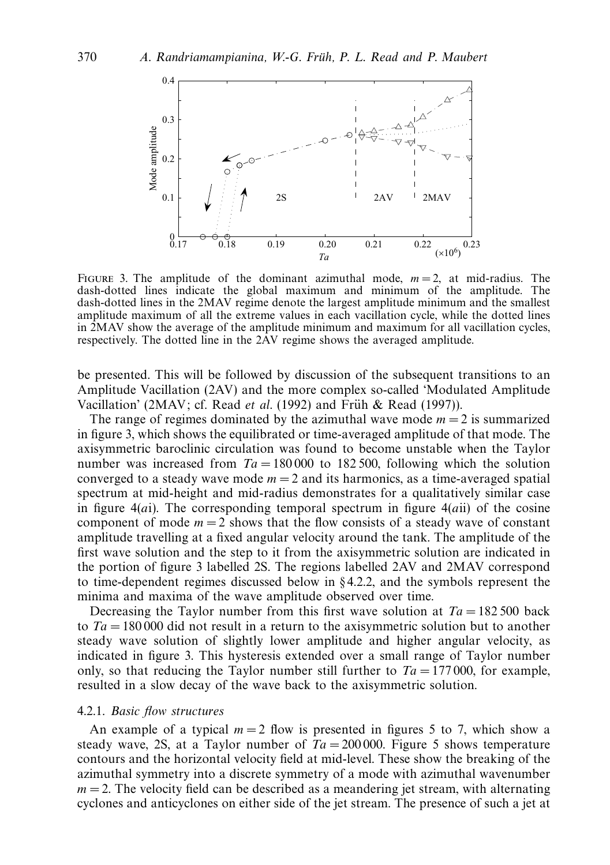

FIGURE 3. The amplitude of the dominant azimuthal mode,  $m = 2$ , at mid-radius. The dash-dotted lines indicate the global maximum and minimum of the amplitude. The dash-dotted lines in the 2MAV regime denote the largest amplitude minimum and the smallest amplitude maximum of all the extreme values in each vacillation cycle, while the dotted lines in 2MAV show the average of the amplitude minimum and maximum for all vacillation cycles, respectively. The dotted line in the 2AV regime shows the averaged amplitude.

be presented. This will be followed by discussion of the subsequent transitions to an Amplitude Vacillation (2AV) and the more complex so-called 'Modulated Amplitude Vacillation' (2MAV; cf. Read et al. (1992) and Früh & Read (1997)).

The range of regimes dominated by the azimuthal wave mode  $m = 2$  is summarized in figure 3, which shows the equilibrated or time-averaged amplitude of that mode. The axisymmetric baroclinic circulation was found to become unstable when the Taylor number was increased from  $Ta = 180,000$  to 182.500, following which the solution converged to a steady wave mode  $m = 2$  and its harmonics, as a time-averaged spatial spectrum at mid-height and mid-radius demonstrates for a qualitatively similar case in figure 4(*a*i). The corresponding temporal spectrum in figure 4(*a*ii) of the cosine component of mode  $m = 2$  shows that the flow consists of a steady wave of constant amplitude travelling at a fixed angular velocity around the tank. The amplitude of the first wave solution and the step to it from the axisymmetric solution are indicated in the portion of figure 3 labelled 2S. The regions labelled 2AV and 2MAV correspond to time-dependent regimes discussed below in § 4.2.2, and the symbols represent the minima and maxima of the wave amplitude observed over time.

Decreasing the Taylor number from this first wave solution at  $Ta = 182500$  back to  $Ta = 180000$  did not result in a return to the axisymmetric solution but to another steady wave solution of slightly lower amplitude and higher angular velocity, as indicated in figure 3. This hysteresis extended over a small range of Taylor number only, so that reducing the Taylor number still further to  $Ta = 177\,000$ , for example, resulted in a slow decay of the wave back to the axisymmetric solution.

### 4.2.1. Basic flow structures

An example of a typical  $m = 2$  flow is presented in figures 5 to 7, which show a steady wave, 2S, at a Taylor number of  $Ta = 200000$ . Figure 5 shows temperature contours and the horizontal velocity field at mid-level. These show the breaking of the azimuthal symmetry into a discrete symmetry of a mode with azimuthal wavenumber  $m = 2$ . The velocity field can be described as a meandering jet stream, with alternating cyclones and anticyclones on either side of the jet stream. The presence of such a jet at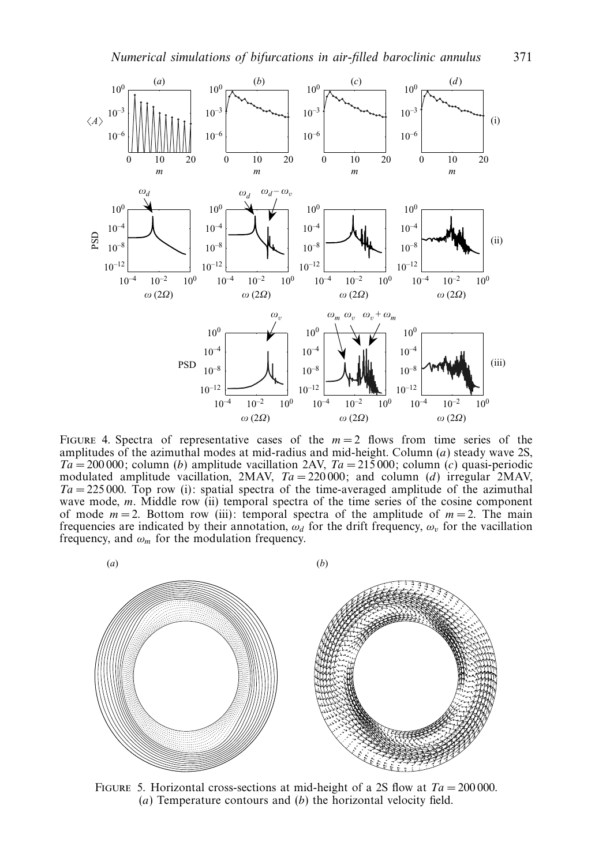

FIGURE 4. Spectra of representative cases of the  $m = 2$  flows from time series of the amplitudes of the azimuthal modes at mid-radius and mid-height. Column (*a*) steady wave 2S, Ta = 200 000; column (*b*) amplitude vacillation 2AV, Ta = 215 000; column (*c*) quasi-periodic modulated amplitude vacillation, 2MAV,  $Ta = 220000$ ; and column (*d*) irregular 2MAV,  $Ta = 225000$ . Top row (i): spatial spectra of the time-averaged amplitude of the azimuthal wave mode, *m*. Middle row (ii) temporal spectra of the time series of the cosine component of mode  $m = 2$ . Bottom row (iii): temporal spectra of the amplitude of  $m = 2$ . The main frequencies are indicated by their annotation,  $\omega_d$  for the drift frequency,  $\omega_v$  for the vacillation frequency, and  $\omega_m$  for the modulation frequency.



FIGURE 5. Horizontal cross-sections at mid-height of a 2S flow at  $Ta = 200000$ . (*a*) Temperature contours and (*b*) the horizontal velocity field.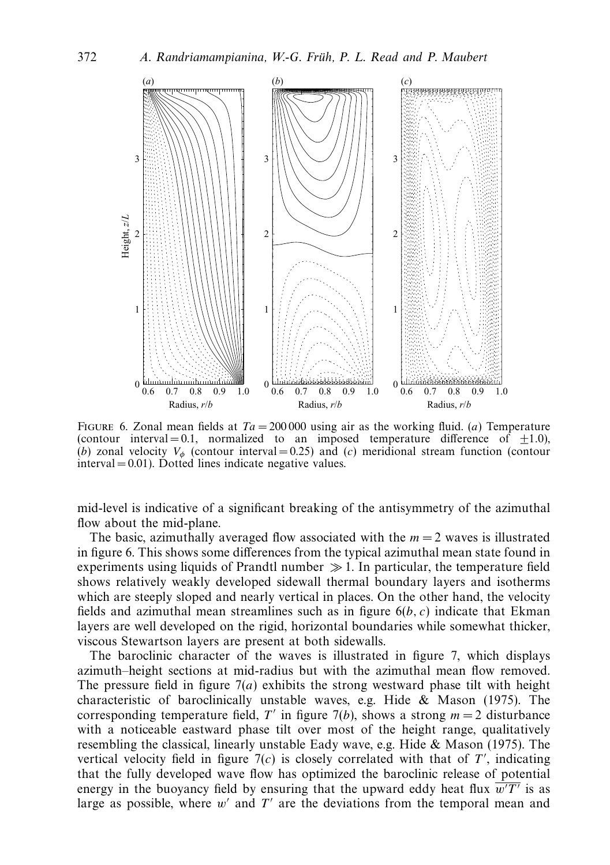

FIGURE 6. Zonal mean fields at  $Ta = 200000$  using air as the working fluid. (*a*) Temperature (contour interval  $= 0.1$ , normalized to an imposed temperature difference of  $\pm 1.0$ ), (*b*) zonal velocity  $V_{\phi}$  (contour interval = 0.25) and (*c*) meridional stream function (contour  $interval = 0.01$ . Dotted lines indicate negative values.

mid-level is indicative of a significant breaking of the antisymmetry of the azimuthal flow about the mid-plane.

The basic, azimuthally averaged flow associated with the  $m = 2$  waves is illustrated in figure 6. This shows some differences from the typical azimuthal mean state found in experiments using liquids of Prandtl number  $\gg 1$ . In particular, the temperature field shows relatively weakly developed sidewall thermal boundary layers and isotherms which are steeply sloped and nearly vertical in places. On the other hand, the velocity fields and azimuthal mean streamlines such as in figure 6(*b, c*) indicate that Ekman layers are well developed on the rigid, horizontal boundaries while somewhat thicker, viscous Stewartson layers are present at both sidewalls.

The baroclinic character of the waves is illustrated in figure 7, which displays azimuth–height sections at mid-radius but with the azimuthal mean flow removed. The pressure field in figure  $7(a)$  exhibits the strong westward phase tilt with height characteristic of baroclinically unstable waves, e.g. Hide & Mason (1975). The corresponding temperature field, *T'* in figure 7(*b*), shows a strong  $m = 2$  disturbance with a noticeable eastward phase tilt over most of the height range, qualitatively resembling the classical, linearly unstable Eady wave, e.g. Hide & Mason (1975). The vertical velocity field in figure  $7(c)$  is closely correlated with that of T', indicating that the fully developed wave flow has optimized the baroclinic release of potential energy in the buoyancy field by ensuring that the upward eddy heat flux  $w/T'$  is as large as possible, where  $w'$  and  $T'$  are the deviations from the temporal mean and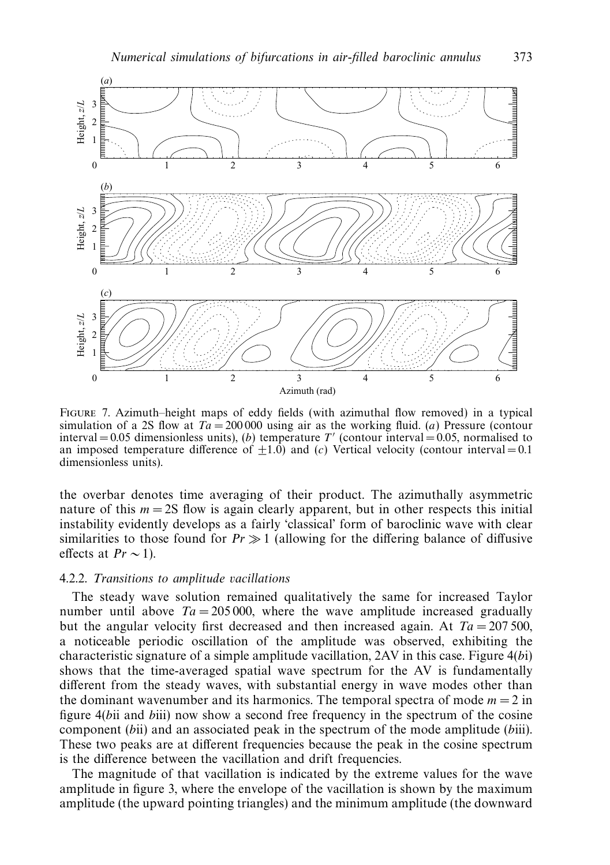

Figure 7. Azimuth–height maps of eddy fields (with azimuthal flow removed) in a typical simulation of a 2S flow at  $Ta = 200000$  using air as the working fluid. (*a*) Pressure (contour interval  $= 0.05$  dimensionless units), (*b*) temperature *T'* (contour interval  $= 0.05$ , normalised to an imposed temperature difference of  $\pm 1.0$ ) and (*c*) Vertical velocity (contour interval = 0.1 dimensionless units).

the overbar denotes time averaging of their product. The azimuthally asymmetric nature of this  $m = 2S$  flow is again clearly apparent, but in other respects this initial instability evidently develops as a fairly 'classical' form of baroclinic wave with clear similarities to those found for  $Pr \gg 1$  (allowing for the differing balance of diffusive effects at  $Pr \sim 1$ ).

# 4.2.2. Transitions to amplitude vacillations

The steady wave solution remained qualitatively the same for increased Taylor number until above  $Ta = 205000$ , where the wave amplitude increased gradually but the angular velocity first decreased and then increased again. At  $Ta = 207500$ , a noticeable periodic oscillation of the amplitude was observed, exhibiting the characteristic signature of a simple amplitude vacillation, 2AV in this case. Figure 4(*b*i) shows that the time-averaged spatial wave spectrum for the AV is fundamentally different from the steady waves, with substantial energy in wave modes other than the dominant wavenumber and its harmonics. The temporal spectra of mode  $m = 2$  in figure 4(*b*ii and *b*iii) now show a second free frequency in the spectrum of the cosine component (*b*ii) and an associated peak in the spectrum of the mode amplitude (*b*iii). These two peaks are at different frequencies because the peak in the cosine spectrum is the difference between the vacillation and drift frequencies.

The magnitude of that vacillation is indicated by the extreme values for the wave amplitude in figure 3, where the envelope of the vacillation is shown by the maximum amplitude (the upward pointing triangles) and the minimum amplitude (the downward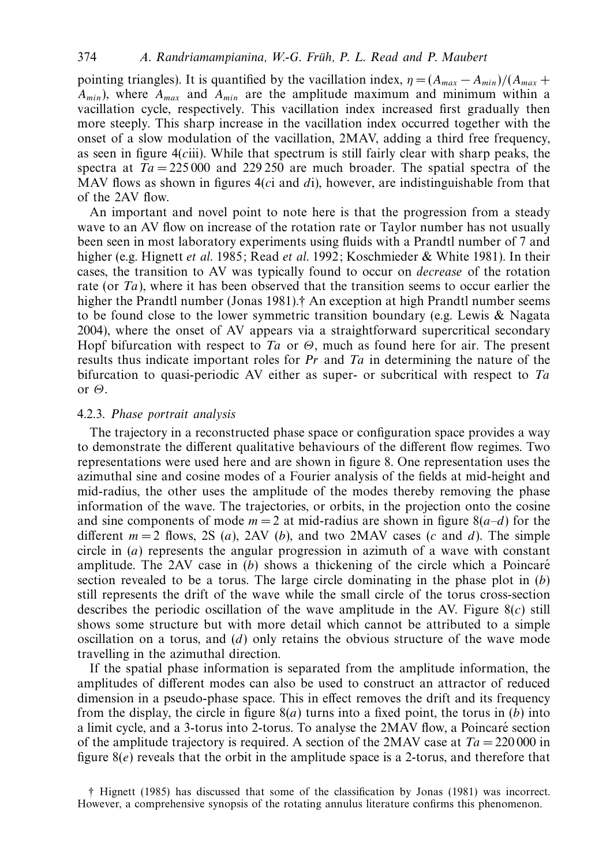pointing triangles). It is quantified by the vacillation index,  $\eta = (A_{max} - A_{min})/(A_{max} + A_{min})$  $A_{min}$ ), where  $A_{max}$  and  $A_{min}$  are the amplitude maximum and minimum within a vacillation cycle, respectively. This vacillation index increased first gradually then more steeply. This sharp increase in the vacillation index occurred together with the onset of a slow modulation of the vacillation, 2MAV, adding a third free frequency, as seen in figure 4(*c*iii). While that spectrum is still fairly clear with sharp peaks, the spectra at  $Ta = 225000$  and 229 250 are much broader. The spatial spectra of the MAV flows as shown in figures 4(*c*i and *d*i), however, are indistinguishable from that of the 2AV flow.

An important and novel point to note here is that the progression from a steady wave to an AV flow on increase of the rotation rate or Taylor number has not usually been seen in most laboratory experiments using fluids with a Prandtl number of 7 and higher (e.g. Hignett et al. 1985; Read et al. 1992; Koschmieder & White 1981). In their cases, the transition to AV was typically found to occur on decrease of the rotation rate (or Ta), where it has been observed that the transition seems to occur earlier the higher the Prandtl number (Jonas 1981).<sup>†</sup> An exception at high Prandtl number seems to be found close to the lower symmetric transition boundary (e.g. Lewis  $\&$  Nagata 2004), where the onset of AV appears via a straightforward supercritical secondary Hopf bifurcation with respect to Ta or *Θ*, much as found here for air. The present results thus indicate important roles for  $Pr$  and  $Ta$  in determining the nature of the bifurcation to quasi-periodic AV either as super- or subcritical with respect to  $Ta$ or *Θ*.

## 4.2.3. Phase portrait analysis

The trajectory in a reconstructed phase space or configuration space provides a way to demonstrate the different qualitative behaviours of the different flow regimes. Two representations were used here and are shown in figure 8. One representation uses the azimuthal sine and cosine modes of a Fourier analysis of the fields at mid-height and mid-radius, the other uses the amplitude of the modes thereby removing the phase information of the wave. The trajectories, or orbits, in the projection onto the cosine and sine components of mode  $m = 2$  at mid-radius are shown in figure  $8(a-d)$  for the different  $m = 2$  flows, 2S (*a*), 2AV (*b*), and two 2MAV cases (*c* and *d*). The simple circle in (*a*) represents the angular progression in azimuth of a wave with constant amplitude. The  $2AV$  case in  $(b)$  shows a thickening of the circle which a Poincaré section revealed to be a torus. The large circle dominating in the phase plot in (*b*) still represents the drift of the wave while the small circle of the torus cross-section describes the periodic oscillation of the wave amplitude in the AV. Figure 8(*c*) still shows some structure but with more detail which cannot be attributed to a simple oscillation on a torus, and (*d*) only retains the obvious structure of the wave mode travelling in the azimuthal direction.

If the spatial phase information is separated from the amplitude information, the amplitudes of different modes can also be used to construct an attractor of reduced dimension in a pseudo-phase space. This in effect removes the drift and its frequency from the display, the circle in figure 8(*a*) turns into a fixed point, the torus in (*b*) into a limit cycle, and a 3-torus into 2-torus. To analyse the 2MAV flow, a Poincaré section of the amplitude trajectory is required. A section of the 2MAV case at  $Ta = 220000$  in figure 8(*e*) reveals that the orbit in the amplitude space is a 2-torus, and therefore that

† Hignett (1985) has discussed that some of the classification by Jonas (1981) was incorrect. However, a comprehensive synopsis of the rotating annulus literature confirms this phenomenon.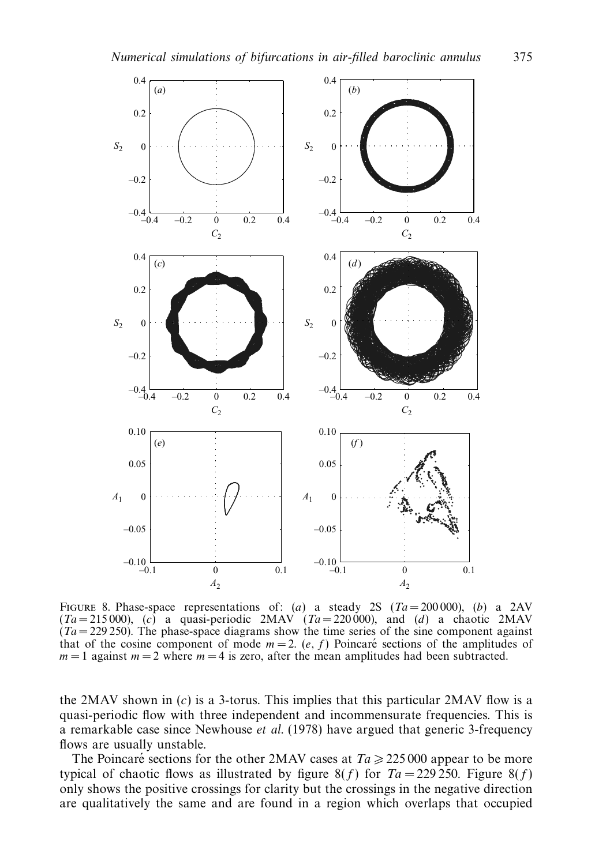

FIGURE 8. Phase-space representations of: (*a*) a steady 2S ( $Ta = 200000$ ), (*b*) a 2AV  $(Ta = 215000)$ , (c) a quasi-periodic 2MAV  $(Ta = 220000)$ , and (d) a chaotic 2MAV  $(Ta = 229 250)$ . The phase-space diagrams show the time series of the sine component against that of the cosine component of mode  $m = 2$ .  $(e, f)$  Poincaré sections of the amplitudes of  $m = 1$  against  $m = 2$  where  $m = 4$  is zero, after the mean amplitudes had been subtracted.

the 2MAV shown in  $(c)$  is a 3-torus. This implies that this particular 2MAV flow is a quasi-periodic flow with three independent and incommensurate frequencies. This is a remarkable case since Newhouse et al. (1978) have argued that generic 3-frequency flows are usually unstable.

The Poincaré sections for the other 2MAV cases at  $Ta \ge 225\,000$  appear to be more typical of chaotic flows as illustrated by figure 8(*f*) for  $Ta = 229\,250$ . Figure 8(*f*) only shows the positive crossings for clarity but the crossings in the negative direction are qualitatively the same and are found in a region which overlaps that occupied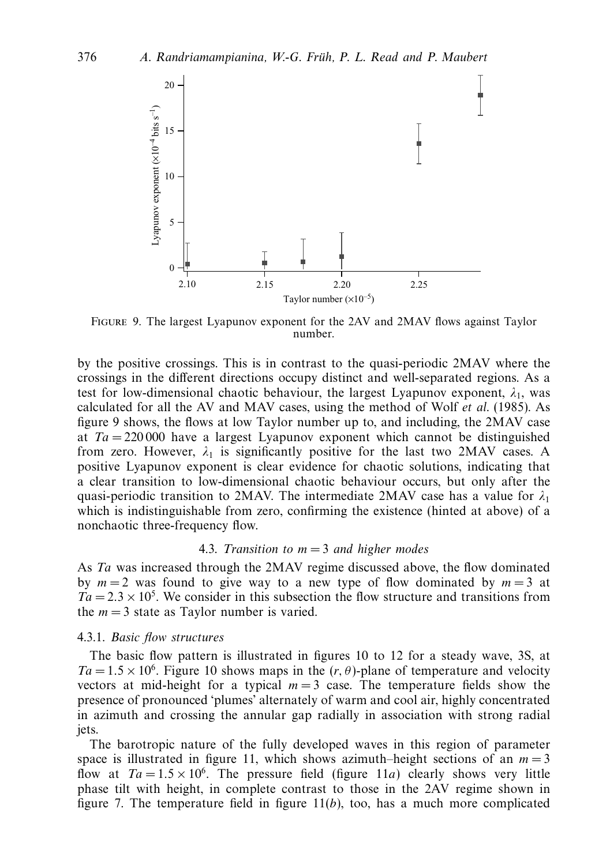

Figure 9. The largest Lyapunov exponent for the 2AV and 2MAV flows against Taylor number.

by the positive crossings. This is in contrast to the quasi-periodic 2MAV where the crossings in the different directions occupy distinct and well-separated regions. As a test for low-dimensional chaotic behaviour, the largest Lyapunov exponent,  $\lambda_1$ , was calculated for all the AV and MAV cases, using the method of Wolf et al. (1985). As figure 9 shows, the flows at low Taylor number up to, and including, the 2MAV case at  $Ta = 220000$  have a largest Lyapunov exponent which cannot be distinguished from zero. However,  $\lambda_1$  is significantly positive for the last two 2MAV cases. A positive Lyapunov exponent is clear evidence for chaotic solutions, indicating that a clear transition to low-dimensional chaotic behaviour occurs, but only after the quasi-periodic transition to 2MAV. The intermediate 2MAV case has a value for  $\lambda_1$ which is indistinguishable from zero, confirming the existence (hinted at above) of a nonchaotic three-frequency flow.

## 4.3. Transition to  $m = 3$  and higher modes

As Ta was increased through the 2MAV regime discussed above, the flow dominated by  $m = 2$  was found to give way to a new type of flow dominated by  $m = 3$  at  $Ta = 2.3 \times 10^5$ . We consider in this subsection the flow structure and transitions from the  $m = 3$  state as Taylor number is varied.

## 4.3.1. Basic flow structures

The basic flow pattern is illustrated in figures 10 to 12 for a steady wave, 3S, at  $Ta = 1.5 \times 10^6$ . Figure 10 shows maps in the  $(r, \theta)$ -plane of temperature and velocity vectors at mid-height for a typical  $m = 3$  case. The temperature fields show the presence of pronounced 'plumes' alternately of warm and cool air, highly concentrated in azimuth and crossing the annular gap radially in association with strong radial jets.

The barotropic nature of the fully developed waves in this region of parameter space is illustrated in figure 11, which shows azimuth–height sections of an  $m = 3$ flow at  $Ta = 1.5 \times 10^6$ . The pressure field (figure 11*a*) clearly shows very little phase tilt with height, in complete contrast to those in the 2AV regime shown in figure 7. The temperature field in figure  $11(b)$ , too, has a much more complicated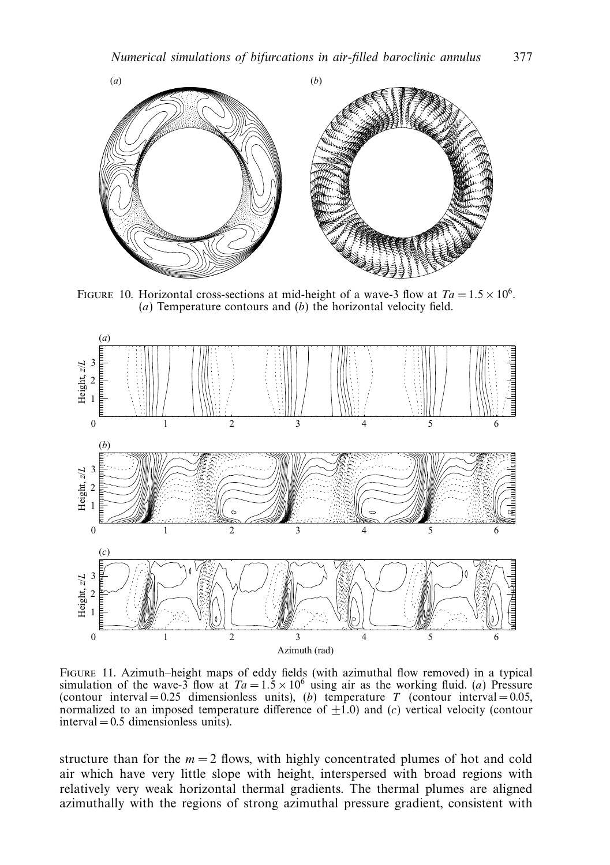

FIGURE 10. Horizontal cross-sections at mid-height of a wave-3 flow at  $Ta = 1.5 \times 10^6$ . (*a*) Temperature contours and (*b*) the horizontal velocity field.



Figure 11. Azimuth–height maps of eddy fields (with azimuthal flow removed) in a typical simulation of the wave-3 flow at  $Ta = 1.5 \times 10^6$  using air as the working fluid. (*a*) Pressure (contour interval = 0.25 dimensionless units), (*b*) temperature *T* (contour interval = 0.05, normalized to an imposed temperature difference of  $\pm 1.0$ ) and (*c*) vertical velocity (contour  $interval = 0.5$  dimensionless units).

structure than for the  $m = 2$  flows, with highly concentrated plumes of hot and cold air which have very little slope with height, interspersed with broad regions with relatively very weak horizontal thermal gradients. The thermal plumes are aligned azimuthally with the regions of strong azimuthal pressure gradient, consistent with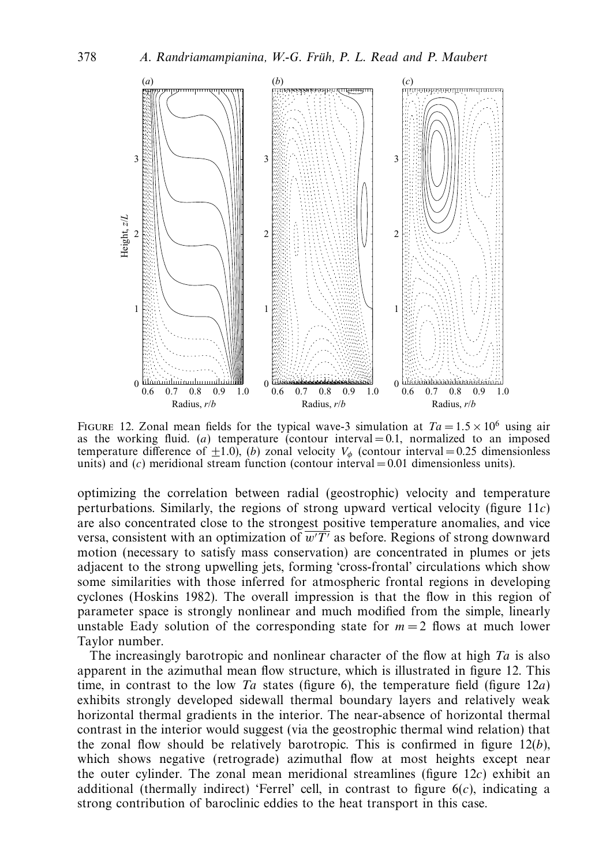

FIGURE 12. Zonal mean fields for the typical wave-3 simulation at  $Ta = 1.5 \times 10^6$  using air as the working fluid. (*a*) temperature (contour interval  $= 0.1$ , normalized to an imposed temperature difference of  $\pm 1.0$ ), (*b*) zonal velocity  $V_{\phi}$  (contour interval = 0.25 dimensionless units) and (*c*) meridional stream function (contour interval = 0.01 dimensionless units).

optimizing the correlation between radial (geostrophic) velocity and temperature perturbations. Similarly, the regions of strong upward vertical velocity (figure 11*c*) are also concentrated close to the strongest positive temperature anomalies, and vice versa, consistent with an optimization of  $w/T'$  as before. Regions of strong downward motion (necessary to satisfy mass conservation) are concentrated in plumes or jets adjacent to the strong upwelling jets, forming 'cross-frontal' circulations which show some similarities with those inferred for atmospheric frontal regions in developing cyclones (Hoskins 1982). The overall impression is that the flow in this region of parameter space is strongly nonlinear and much modified from the simple, linearly unstable Eady solution of the corresponding state for  $m = 2$  flows at much lower Taylor number.

The increasingly barotropic and nonlinear character of the flow at high  $Ta$  is also apparent in the azimuthal mean flow structure, which is illustrated in figure 12. This time, in contrast to the low  $Ta$  states (figure 6), the temperature field (figure  $12a$ ) exhibits strongly developed sidewall thermal boundary layers and relatively weak horizontal thermal gradients in the interior. The near-absence of horizontal thermal contrast in the interior would suggest (via the geostrophic thermal wind relation) that the zonal flow should be relatively barotropic. This is confirmed in figure 12(*b*), which shows negative (retrograde) azimuthal flow at most heights except near the outer cylinder. The zonal mean meridional streamlines (figure 12*c*) exhibit an additional (thermally indirect) 'Ferrel' cell, in contrast to figure 6(*c*), indicating a strong contribution of baroclinic eddies to the heat transport in this case.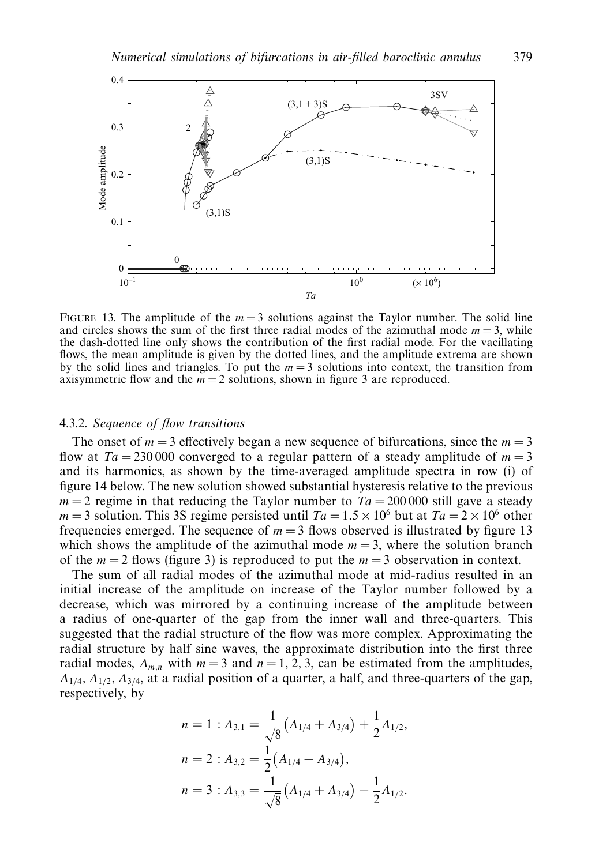

FIGURE 13. The amplitude of the  $m = 3$  solutions against the Taylor number. The solid line and circles shows the sum of the first three radial modes of the azimuthal mode  $m = 3$ , while the dash-dotted line only shows the contribution of the first radial mode. For the vacillating flows, the mean amplitude is given by the dotted lines, and the amplitude extrema are shown by the solid lines and triangles. To put the  $m = 3$  solutions into context, the transition from axisymmetric flow and the  $m = 2$  solutions, shown in figure 3 are reproduced.

## 4.3.2. Sequence of flow transitions

The onset of  $m = 3$  effectively began a new sequence of bifurcations, since the  $m = 3$ flow at  $Ta = 230000$  converged to a regular pattern of a steady amplitude of  $m = 3$ and its harmonics, as shown by the time-averaged amplitude spectra in row (i) of figure 14 below. The new solution showed substantial hysteresis relative to the previous  $m = 2$  regime in that reducing the Taylor number to  $Ta = 200000$  still gave a steady  $m = 3$  solution. This 3S regime persisted until  $Ta = 1.5 \times 10^6$  but at  $Ta = 2 \times 10^6$  other frequencies emerged. The sequence of  $m = 3$  flows observed is illustrated by figure 13 which shows the amplitude of the azimuthal mode  $m = 3$ , where the solution branch of the  $m = 2$  flows (figure 3) is reproduced to put the  $m = 3$  observation in context.

The sum of all radial modes of the azimuthal mode at mid-radius resulted in an initial increase of the amplitude on increase of the Taylor number followed by a decrease, which was mirrored by a continuing increase of the amplitude between a radius of one-quarter of the gap from the inner wall and three-quarters. This suggested that the radial structure of the flow was more complex. Approximating the radial structure by half sine waves, the approximate distribution into the first three radial modes,  $A_{m,n}$  with  $m = 3$  and  $n = 1, 2, 3$ , can be estimated from the amplitudes,  $A_{1/4}$ ,  $A_{1/2}$ ,  $A_{3/4}$ , at a radial position of a quarter, a half, and three-quarters of the gap, respectively, by

$$
n = 1 : A_{3,1} = \frac{1}{\sqrt{8}} (A_{1/4} + A_{3/4}) + \frac{1}{2} A_{1/2},
$$
  
\n
$$
n = 2 : A_{3,2} = \frac{1}{2} (A_{1/4} - A_{3/4}),
$$
  
\n
$$
n = 3 : A_{3,3} = \frac{1}{\sqrt{8}} (A_{1/4} + A_{3/4}) - \frac{1}{2} A_{1/2}.
$$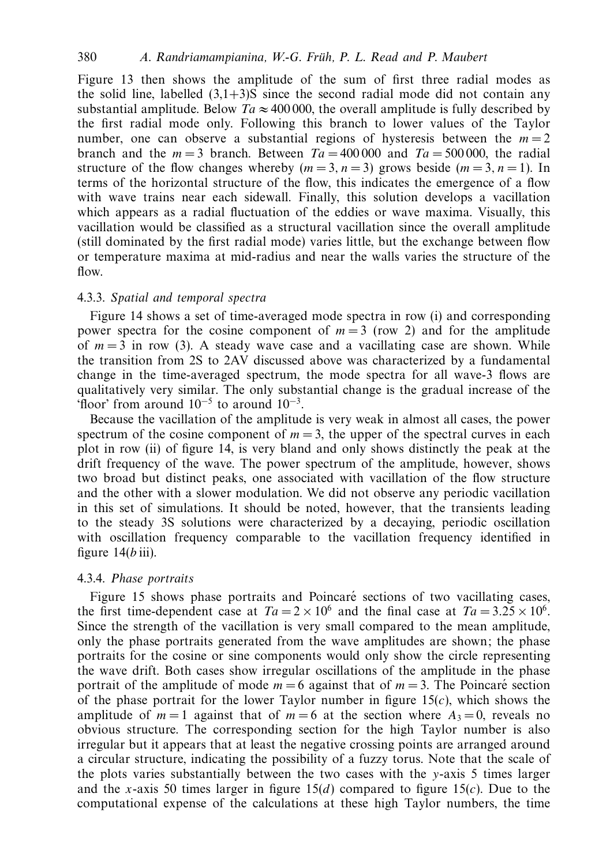Figure 13 then shows the amplitude of the sum of first three radial modes as the solid line, labelled  $(3.1+3)$ S since the second radial mode did not contain any substantial amplitude. Below  $Ta \approx 400,000$ , the overall amplitude is fully described by the first radial mode only. Following this branch to lower values of the Taylor number, one can observe a substantial regions of hysteresis between the  $m = 2$ branch and the  $m = 3$  branch. Between  $Ta = 400000$  and  $Ta = 500000$ , the radial structure of the flow changes whereby  $(m=3, n=3)$  grows beside  $(m=3, n=1)$ . In terms of the horizontal structure of the flow, this indicates the emergence of a flow with wave trains near each sidewall. Finally, this solution develops a vacillation which appears as a radial fluctuation of the eddies or wave maxima. Visually, this vacillation would be classified as a structural vacillation since the overall amplitude (still dominated by the first radial mode) varies little, but the exchange between flow or temperature maxima at mid-radius and near the walls varies the structure of the flow.

# 4.3.3. Spatial and temporal spectra

Figure 14 shows a set of time-averaged mode spectra in row (i) and corresponding power spectra for the cosine component of  $m = 3$  (row 2) and for the amplitude of  $m = 3$  in row (3). A steady wave case and a vacillating case are shown. While the transition from 2S to 2AV discussed above was characterized by a fundamental change in the time-averaged spectrum, the mode spectra for all wave-3 flows are qualitatively very similar. The only substantial change is the gradual increase of the 'floor' from around  $10^{-5}$  to around  $10^{-3}$ .

Because the vacillation of the amplitude is very weak in almost all cases, the power spectrum of the cosine component of  $m = 3$ , the upper of the spectral curves in each plot in row (ii) of figure 14, is very bland and only shows distinctly the peak at the drift frequency of the wave. The power spectrum of the amplitude, however, shows two broad but distinct peaks, one associated with vacillation of the flow structure and the other with a slower modulation. We did not observe any periodic vacillation in this set of simulations. It should be noted, however, that the transients leading to the steady 3S solutions were characterized by a decaying, periodic oscillation with oscillation frequency comparable to the vacillation frequency identified in figure  $14(b \text{ iii})$ .

# 4.3.4. Phase portraits

Figure 15 shows phase portraits and Poincaré sections of two vacillating cases, the first time-dependent case at  $Ta = 2 \times 10^6$  and the final case at  $Ta = 3.25 \times 10^6$ . Since the strength of the vacillation is very small compared to the mean amplitude, only the phase portraits generated from the wave amplitudes are shown; the phase portraits for the cosine or sine components would only show the circle representing the wave drift. Both cases show irregular oscillations of the amplitude in the phase portrait of the amplitude of mode  $m = 6$  against that of  $m = 3$ . The Poincaré section of the phase portrait for the lower Taylor number in figure 15(*c*), which shows the amplitude of  $m = 1$  against that of  $m = 6$  at the section where  $A_3 = 0$ , reveals no obvious structure. The corresponding section for the high Taylor number is also irregular but it appears that at least the negative crossing points are arranged around a circular structure, indicating the possibility of a fuzzy torus. Note that the scale of the plots varies substantially between the two cases with the *y*-axis 5 times larger and the *x*-axis 50 times larger in figure 15(*d*) compared to figure 15(*c*). Due to the computational expense of the calculations at these high Taylor numbers, the time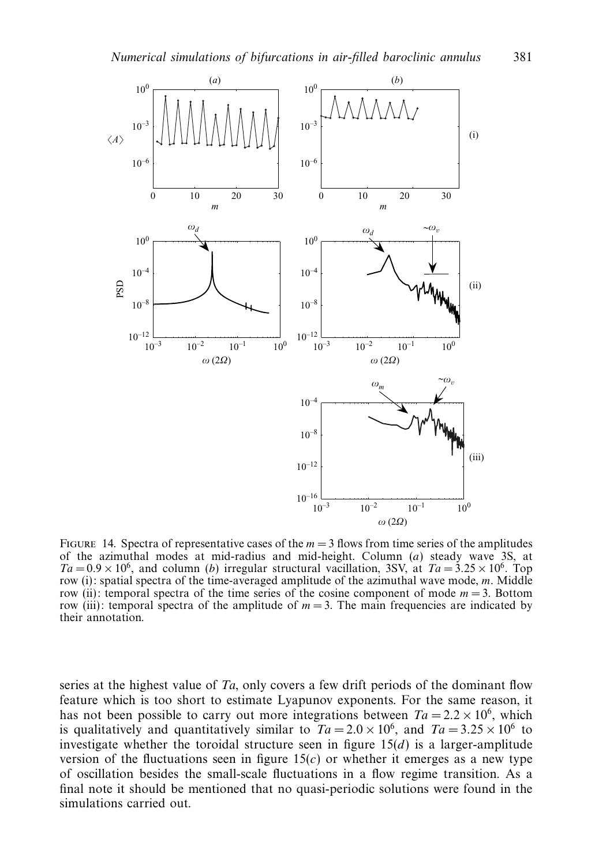

FIGURE 14. Spectra of representative cases of the  $m = 3$  flows from time series of the amplitudes of the azimuthal modes at mid-radius and mid-height. Column (*a*) steady wave 3S, at  $Ta = 0.9 \times 10^6$ , and column (*b*) irregular structural vacillation, 3SV, at  $Ta = 3.25 \times 10^6$ . Top row (i): spatial spectra of the time-averaged amplitude of the azimuthal wave mode, *m*. Middle row (ii): temporal spectra of the time series of the cosine component of mode  $m = 3$ . Bottom row (iii): temporal spectra of the amplitude of  $m = 3$ . The main frequencies are indicated by their annotation.

series at the highest value of  $Ta$ , only covers a few drift periods of the dominant flow feature which is too short to estimate Lyapunov exponents. For the same reason, it has not been possible to carry out more integrations between  $Ta = 2.2 \times 10^6$ , which is qualitatively and quantitatively similar to  $Ta = 2.0 \times 10^6$ , and  $Ta = 3.25 \times 10^6$  to investigate whether the toroidal structure seen in figure  $15(d)$  is a larger-amplitude version of the fluctuations seen in figure  $15(c)$  or whether it emerges as a new type of oscillation besides the small-scale fluctuations in a flow regime transition. As a final note it should be mentioned that no quasi-periodic solutions were found in the simulations carried out.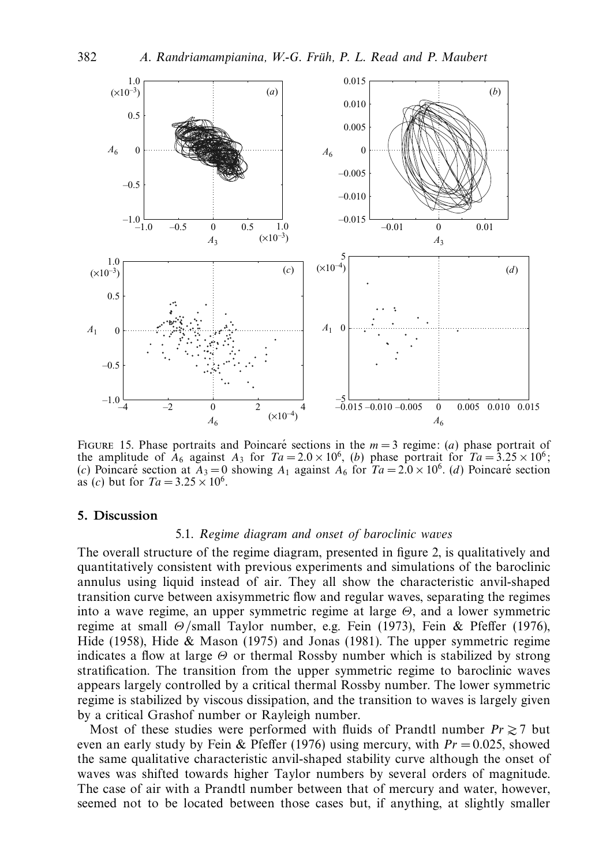

FIGURE 15. Phase portraits and Poincaré sections in the  $m = 3$  regime: (*a*) phase portrait of the amplitude of  $A_6$  against  $A_3$  for  $Ta = 2.0 \times 10^6$ , *(b)* phase portrait for  $Ta = 3.25 \times 10^6$ ; (*c*) Poincaré section at  $A_3 = 0$  showing  $A_1$  against  $A_6$  for  $Ta = 2.0 \times 10^6$ . (*d*) Poincaré section as (*c*) but for  $Ta = 3.25 \times 10^6$ .

## *5. Discussion*

## 5.1. Regime diagram and onset of baroclinic waves

The overall structure of the regime diagram, presented in figure 2, is qualitatively and quantitatively consistent with previous experiments and simulations of the baroclinic annulus using liquid instead of air. They all show the characteristic anvil-shaped transition curve between axisymmetric flow and regular waves, separating the regimes into a wave regime, an upper symmetric regime at large *Θ*, and a lower symmetric regime at small *Θ*/small Taylor number, e.g. Fein (1973), Fein & Pfeffer (1976), Hide (1958), Hide & Mason (1975) and Jonas (1981). The upper symmetric regime indicates a flow at large *Θ* or thermal Rossby number which is stabilized by strong stratification. The transition from the upper symmetric regime to baroclinic waves appears largely controlled by a critical thermal Rossby number. The lower symmetric regime is stabilized by viscous dissipation, and the transition to waves is largely given by a critical Grashof number or Rayleigh number.

Most of these studies were performed with fluids of Prandtl number  $Pr \ge 7$  but even an early study by Fein & Pfeffer (1976) using mercury, with  $Pr = 0.025$ , showed the same qualitative characteristic anvil-shaped stability curve although the onset of waves was shifted towards higher Taylor numbers by several orders of magnitude. The case of air with a Prandtl number between that of mercury and water, however, seemed not to be located between those cases but, if anything, at slightly smaller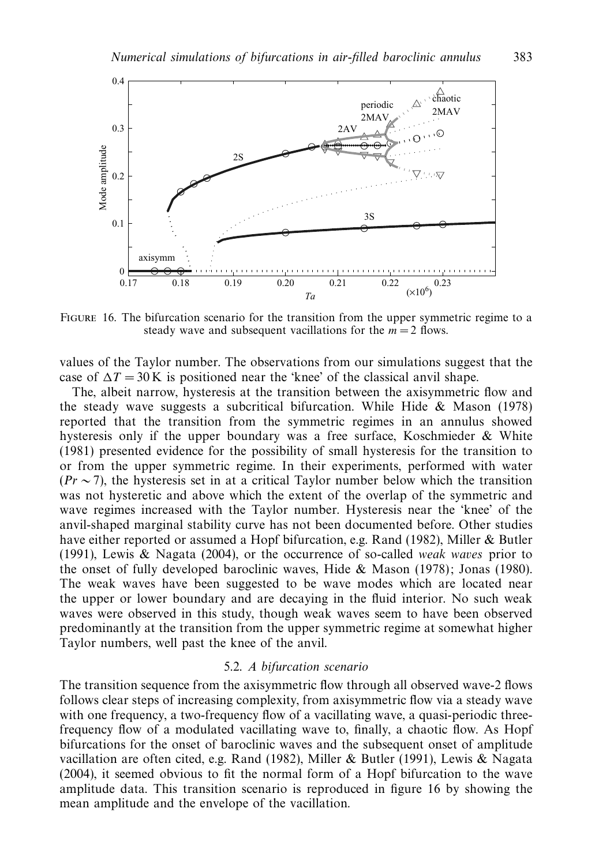

Figure 16. The bifurcation scenario for the transition from the upper symmetric regime to a steady wave and subsequent vacillations for the  $m = 2$  flows.

values of the Taylor number. The observations from our simulations suggest that the case of  $\Delta T = 30$  K is positioned near the 'knee' of the classical anvil shape.

The, albeit narrow, hysteresis at the transition between the axisymmetric flow and the steady wave suggests a subcritical bifurcation. While Hide & Mason (1978) reported that the transition from the symmetric regimes in an annulus showed hysteresis only if the upper boundary was a free surface, Koschmieder & White (1981) presented evidence for the possibility of small hysteresis for the transition to or from the upper symmetric regime. In their experiments, performed with water  $(Pr \sim 7)$ , the hysteresis set in at a critical Taylor number below which the transition was not hysteretic and above which the extent of the overlap of the symmetric and wave regimes increased with the Taylor number. Hysteresis near the 'knee' of the anvil-shaped marginal stability curve has not been documented before. Other studies have either reported or assumed a Hopf bifurcation, e.g. Rand (1982), Miller & Butler (1991), Lewis & Nagata (2004), or the occurrence of so-called *weak waves* prior to the onset of fully developed baroclinic waves, Hide & Mason (1978); Jonas (1980). The weak waves have been suggested to be wave modes which are located near the upper or lower boundary and are decaying in the fluid interior. No such weak waves were observed in this study, though weak waves seem to have been observed predominantly at the transition from the upper symmetric regime at somewhat higher Taylor numbers, well past the knee of the anvil.

#### 5.2. A bifurcation scenario

The transition sequence from the axisymmetric flow through all observed wave-2 flows follows clear steps of increasing complexity, from axisymmetric flow via a steady wave with one frequency, a two-frequency flow of a vacillating wave, a quasi-periodic threefrequency flow of a modulated vacillating wave to, finally, a chaotic flow. As Hopf bifurcations for the onset of baroclinic waves and the subsequent onset of amplitude vacillation are often cited, e.g. Rand (1982), Miller & Butler (1991), Lewis & Nagata (2004), it seemed obvious to fit the normal form of a Hopf bifurcation to the wave amplitude data. This transition scenario is reproduced in figure 16 by showing the mean amplitude and the envelope of the vacillation.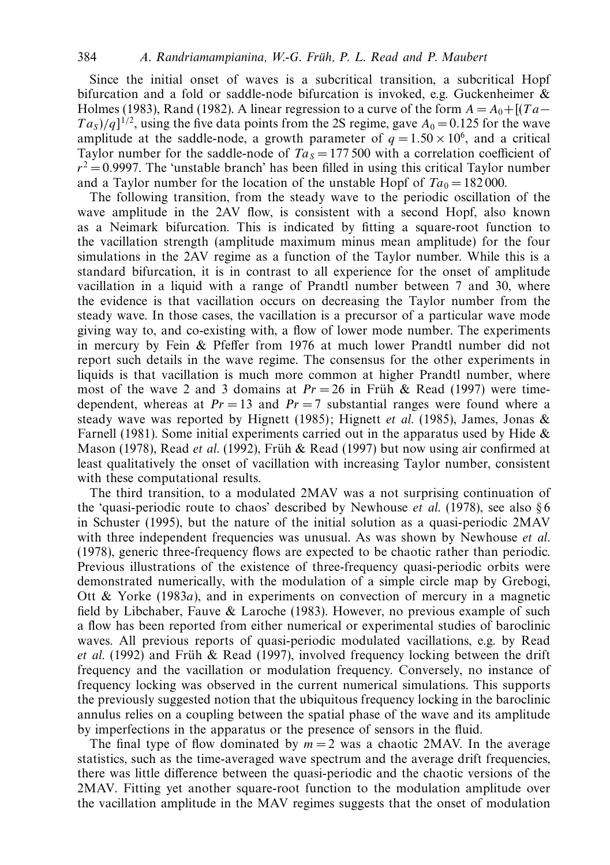Since the initial onset of waves is a subcritical transition, a subcritical Hopf bifurcation and a fold or saddle-node bifurcation is invoked, e.g. Guckenheimer & Holmes (1983), Rand (1982). A linear regression to a curve of the form  $A = A_0 + [(Ta Ta<sub>S</sub>$ )/q]<sup>1/2</sup>, using the five data points from the 2S regime, gave  $A<sub>0</sub> = 0.125$  for the wave amplitude at the saddle-node, a growth parameter of  $q = 1.50 \times 10^6$ , and a critical Taylor number for the saddle-node of  $Ta_s = 177,500$  with a correlation coefficient of  $r^2 = 0.9997$ . The 'unstable branch' has been filled in using this critical Taylor number and a Taylor number for the location of the unstable Hopf of  $Ta_0 = 182\,000$ .

The following transition, from the steady wave to the periodic oscillation of the wave amplitude in the 2AV flow, is consistent with a second Hopf, also known as a Neimark bifurcation. This is indicated by fitting a square-root function to the vacillation strength (amplitude maximum minus mean amplitude) for the four simulations in the 2AV regime as a function of the Taylor number. While this is a standard bifurcation, it is in contrast to all experience for the onset of amplitude vacillation in a liquid with a range of Prandtl number between 7 and 30, where the evidence is that vacillation occurs on decreasing the Taylor number from the steady wave. In those cases, the vacillation is a precursor of a particular wave mode giving way to, and co-existing with, a flow of lower mode number. The experiments in mercury by Fein & Pfeffer from 1976 at much lower Prandtl number did not report such details in the wave regime. The consensus for the other experiments in liquids is that vacillation is much more common at higher Prandtl number, where most of the wave 2 and 3 domains at  $Pr = 26$  in Früh & Read (1997) were timedependent, whereas at  $Pr = 13$  and  $Pr = 7$  substantial ranges were found where a steady wave was reported by Hignett (1985); Hignett *et al.* (1985), James, Jonas  $\&$ Farnell (1981). Some initial experiments carried out in the apparatus used by Hide  $\&$ Mason (1978), Read et al. (1992), Früh & Read (1997) but now using air confirmed at least qualitatively the onset of vacillation with increasing Taylor number, consistent with these computational results.

The third transition, to a modulated 2MAV was a not surprising continuation of the 'quasi-periodic route to chaos' described by Newhouse *et al.* (1978), see also  $\S6$ in Schuster (1995), but the nature of the initial solution as a quasi-periodic 2MAV with three independent frequencies was unusual. As was shown by Newhouse *et al.* (1978), generic three-frequency flows are expected to be chaotic rather than periodic. Previous illustrations of the existence of three-frequency quasi-periodic orbits were demonstrated numerically, with the modulation of a simple circle map by Grebogi, Ott & Yorke (1983*a*), and in experiments on convection of mercury in a magnetic field by Libchaber, Fauve & Laroche (1983). However, no previous example of such a flow has been reported from either numerical or experimental studies of baroclinic waves. All previous reports of quasi-periodic modulated vacillations, e.g. by Read et al. (1992) and Früh & Read (1997), involved frequency locking between the drift frequency and the vacillation or modulation frequency. Conversely, no instance of frequency locking was observed in the current numerical simulations. This supports the previously suggested notion that the ubiquitous frequency locking in the baroclinic annulus relies on a coupling between the spatial phase of the wave and its amplitude by imperfections in the apparatus or the presence of sensors in the fluid.

The final type of flow dominated by  $m = 2$  was a chaotic 2MAV. In the average statistics, such as the time-averaged wave spectrum and the average drift frequencies, there was little difference between the quasi-periodic and the chaotic versions of the 2MAV. Fitting yet another square-root function to the modulation amplitude over the vacillation amplitude in the MAV regimes suggests that the onset of modulation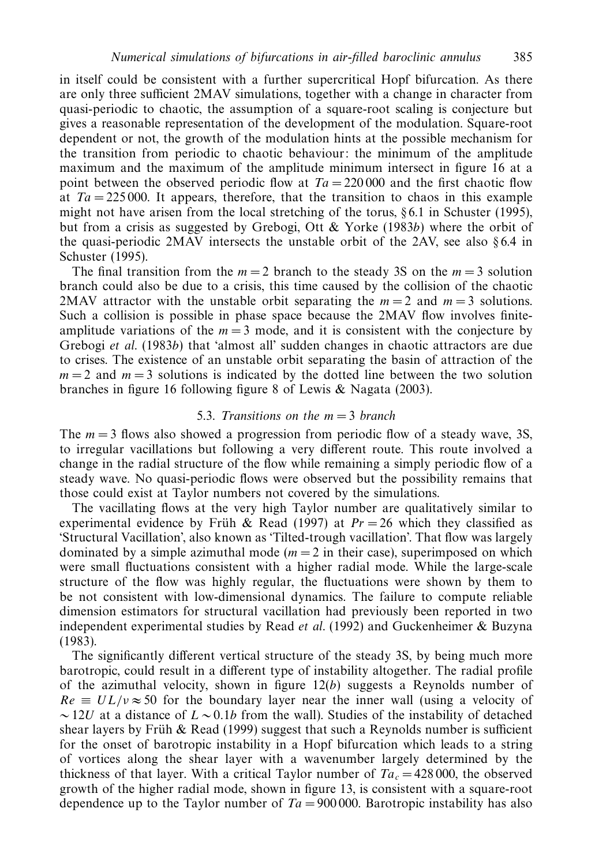in itself could be consistent with a further supercritical Hopf bifurcation. As there are only three sufficient 2MAV simulations, together with a change in character from quasi-periodic to chaotic, the assumption of a square-root scaling is conjecture but gives a reasonable representation of the development of the modulation. Square-root dependent or not, the growth of the modulation hints at the possible mechanism for the transition from periodic to chaotic behaviour: the minimum of the amplitude maximum and the maximum of the amplitude minimum intersect in figure 16 at a point between the observed periodic flow at  $Ta = 220000$  and the first chaotic flow at  $Ta = 225000$ . It appears, therefore, that the transition to chaos in this example might not have arisen from the local stretching of the torus,  $\S 6.1$  in Schuster (1995), but from a crisis as suggested by Grebogi, Ott & Yorke (1983*b*) where the orbit of the quasi-periodic 2MAV intersects the unstable orbit of the 2AV, see also  $\S 6.4$  in Schuster (1995).

The final transition from the  $m = 2$  branch to the steady 3S on the  $m = 3$  solution branch could also be due to a crisis, this time caused by the collision of the chaotic 2MAV attractor with the unstable orbit separating the  $m = 2$  and  $m = 3$  solutions. Such a collision is possible in phase space because the 2MAV flow involves finiteamplitude variations of the  $m = 3$  mode, and it is consistent with the conjecture by Grebogi et al. (1983*b*) that 'almost all' sudden changes in chaotic attractors are due to crises. The existence of an unstable orbit separating the basin of attraction of the  $m = 2$  and  $m = 3$  solutions is indicated by the dotted line between the two solution branches in figure 16 following figure 8 of Lewis & Nagata (2003).

# 5.3. Transitions on the *m* = 3 branch

The *m* = 3 flows also showed a progression from periodic flow of a steady wave, 3S, to irregular vacillations but following a very different route. This route involved a change in the radial structure of the flow while remaining a simply periodic flow of a steady wave. No quasi-periodic flows were observed but the possibility remains that those could exist at Taylor numbers not covered by the simulations.

The vacillating flows at the very high Taylor number are qualitatively similar to experimental evidence by Früh & Read (1997) at  $Pr = 26$  which they classified as 'Structural Vacillation', also known as 'Tilted-trough vacillation'. That flow was largely dominated by a simple azimuthal mode  $(m = 2$  in their case), superimposed on which were small fluctuations consistent with a higher radial mode. While the large-scale structure of the flow was highly regular, the fluctuations were shown by them to be not consistent with low-dimensional dynamics. The failure to compute reliable dimension estimators for structural vacillation had previously been reported in two independent experimental studies by Read *et al.* (1992) and Guckenheimer  $\&$  Buzyna (1983).

The significantly different vertical structure of the steady 3S, by being much more barotropic, could result in a different type of instability altogether. The radial profile of the azimuthal velocity, shown in figure 12(*b*) suggests a Reynolds number of  $Re \equiv UL/\nu \approx 50$  for the boundary layer near the inner wall (using a velocity of ∼ 12*U* at a distance of *L* ∼ 0*.*1*b* from the wall). Studies of the instability of detached shear layers by Früh & Read (1999) suggest that such a Reynolds number is sufficient for the onset of barotropic instability in a Hopf bifurcation which leads to a string of vortices along the shear layer with a wavenumber largely determined by the thickness of that layer. With a critical Taylor number of  $Ta_c = 428,000$ , the observed growth of the higher radial mode, shown in figure 13, is consistent with a square-root dependence up to the Taylor number of  $Ta = 900000$ . Barotropic instability has also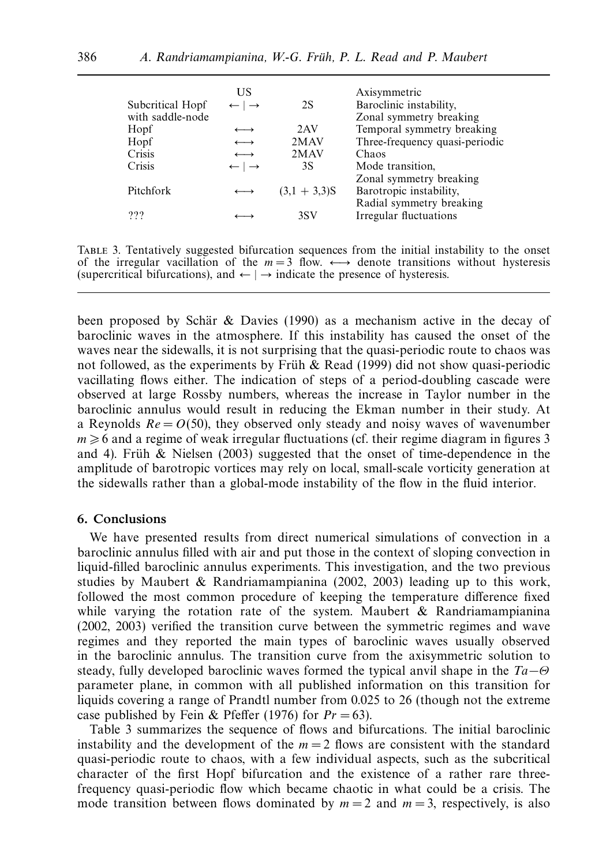|                  | US                            |                 | Axisymmetric                   |
|------------------|-------------------------------|-----------------|--------------------------------|
| Subcritical Hopf | $\leftarrow \mid \rightarrow$ | 2S              | Baroclinic instability,        |
| with saddle-node |                               |                 | Zonal symmetry breaking        |
| Hopf             | $\longleftrightarrow$         | 2AV             | Temporal symmetry breaking     |
| Hopf             | $\longleftrightarrow$         | 2MAV            | Three-frequency quasi-periodic |
| Crisis           | $\longleftrightarrow$         | 2MAV            | Chaos                          |
| Crisis           | $\leftarrow \mid \rightarrow$ | 3S              | Mode transition,               |
|                  |                               |                 | Zonal symmetry breaking        |
| Pitchfork        |                               | $(3.1 + 3.3)$ S | Barotropic instability,        |
|                  |                               |                 | Radial symmetry breaking       |
| ???              |                               | 3SV             | Irregular fluctuations         |
|                  |                               |                 |                                |

Table 3. Tentatively suggested bifurcation sequences from the initial instability to the onset of the irregular vacillation of the  $m = 3$  flow.  $\longleftrightarrow$  denote transitions without hysteresis (supercritical bifurcations), and  $\leftarrow$   $\rightarrow$  indicate the presence of hysteresis.

been proposed by Schär & Davies (1990) as a mechanism active in the decay of baroclinic waves in the atmosphere. If this instability has caused the onset of the waves near the sidewalls, it is not surprising that the quasi-periodic route to chaos was not followed, as the experiments by Früh  $\&$  Read (1999) did not show quasi-periodic vacillating flows either. The indication of steps of a period-doubling cascade were observed at large Rossby numbers, whereas the increase in Taylor number in the baroclinic annulus would result in reducing the Ekman number in their study. At a Reynolds  $Re = O(50)$ , they observed only steady and noisy waves of wavenumber  $m \geq 6$  and a regime of weak irregular fluctuations (cf. their regime diagram in figures 3 and 4). Fruh & Nielsen (2003) suggested that the onset of time-dependence in the amplitude of barotropic vortices may rely on local, small-scale vorticity generation at the sidewalls rather than a global-mode instability of the flow in the fluid interior.

## *6. Conclusions*

We have presented results from direct numerical simulations of convection in a baroclinic annulus filled with air and put those in the context of sloping convection in liquid-filled baroclinic annulus experiments. This investigation, and the two previous studies by Maubert & Randriamampianina (2002, 2003) leading up to this work, followed the most common procedure of keeping the temperature difference fixed while varying the rotation rate of the system. Maubert  $\&$  Randriamampianina (2002, 2003) verified the transition curve between the symmetric regimes and wave regimes and they reported the main types of baroclinic waves usually observed in the baroclinic annulus. The transition curve from the axisymmetric solution to steady, fully developed baroclinic waves formed the typical anvil shape in the Ta−*Θ* parameter plane, in common with all published information on this transition for liquids covering a range of Prandtl number from 0.025 to 26 (though not the extreme case published by Fein & Pfeffer (1976) for  $Pr = 63$ ).

Table 3 summarizes the sequence of flows and bifurcations. The initial baroclinic instability and the development of the  $m = 2$  flows are consistent with the standard quasi-periodic route to chaos, with a few individual aspects, such as the subcritical character of the first Hopf bifurcation and the existence of a rather rare threefrequency quasi-periodic flow which became chaotic in what could be a crisis. The mode transition between flows dominated by  $m = 2$  and  $m = 3$ , respectively, is also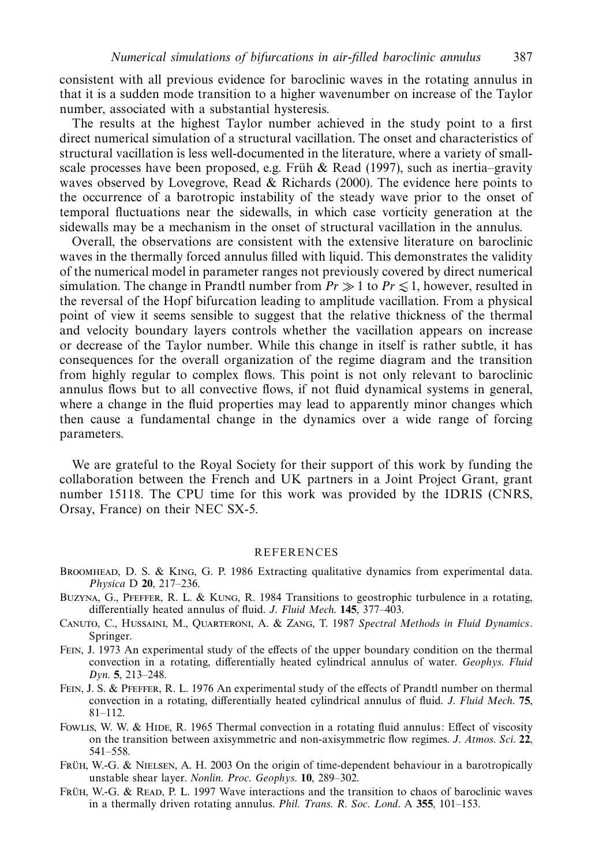consistent with all previous evidence for baroclinic waves in the rotating annulus in that it is a sudden mode transition to a higher wavenumber on increase of the Taylor number, associated with a substantial hysteresis.

The results at the highest Taylor number achieved in the study point to a first direct numerical simulation of a structural vacillation. The onset and characteristics of structural vacillation is less well-documented in the literature, where a variety of smallscale processes have been proposed, e.g. Früh & Read (1997), such as inertia–gravity waves observed by Lovegrove, Read & Richards (2000). The evidence here points to the occurrence of a barotropic instability of the steady wave prior to the onset of temporal fluctuations near the sidewalls, in which case vorticity generation at the sidewalls may be a mechanism in the onset of structural vacillation in the annulus.

Overall, the observations are consistent with the extensive literature on baroclinic waves in the thermally forced annulus filled with liquid. This demonstrates the validity of the numerical model in parameter ranges not previously covered by direct numerical simulation. The change in Prandtl number from  $Pr \gg 1$  to  $Pr \le 1$ , however, resulted in the reversal of the Hopf bifurcation leading to amplitude vacillation. From a physical point of view it seems sensible to suggest that the relative thickness of the thermal and velocity boundary layers controls whether the vacillation appears on increase or decrease of the Taylor number. While this change in itself is rather subtle, it has consequences for the overall organization of the regime diagram and the transition from highly regular to complex flows. This point is not only relevant to baroclinic annulus flows but to all convective flows, if not fluid dynamical systems in general, where a change in the fluid properties may lead to apparently minor changes which then cause a fundamental change in the dynamics over a wide range of forcing parameters.

We are grateful to the Royal Society for their support of this work by funding the collaboration between the French and UK partners in a Joint Project Grant, grant number 15118. The CPU time for this work was provided by the IDRIS (CNRS, Orsay, France) on their NEC SX-5.

### REFERENCES

- BROOMHEAD, D. S. & KING, G. P. 1986 Extracting qualitative dynamics from experimental data. Physica D **20**, 217–236.
- BUZYNA, G., PFEFFER, R. L. & KUNG, R. 1984 Transitions to geostrophic turbulence in a rotating, differentially heated annulus of fluid. J. Fluid Mech. **145**, 377–403.
- CANUTO, C., HUSSAINI, M., QUARTERONI, A. & ZANG, T. 1987 Spectral Methods in Fluid Dynamics. Springer.
- Fein, J. 1973 An experimental study of the effects of the upper boundary condition on the thermal convection in a rotating, differentially heated cylindrical annulus of water. Geophys. Fluid Dyn. **5**, 213–248.
- Fein, J. S. & Pfeffer, R. L. 1976 An experimental study of the effects of Prandtl number on thermal convection in a rotating, differentially heated cylindrical annulus of fluid. J. Fluid Mech. **75**,  $81 - 112$
- Fowlus, W. W. & Hipe, R. 1965 Thermal convection in a rotating fluid annulus: Effect of viscosity on the transition between axisymmetric and non-axisymmetric flow regimes. J. Atmos. Sci. **22**, 541–558.
- FRUH, W.-G. & NIELSEN, A. H. 2003 On the origin of time-dependent behaviour in a barotropically unstable shear layer. Nonlin. Proc. Geophys. **10**, 289–302.
- FRUH, W.-G. & READ, P. L. 1997 Wave interactions and the transition to chaos of baroclinic waves in a thermally driven rotating annulus. Phil. Trans. R. Soc. Lond. A **355**, 101–153.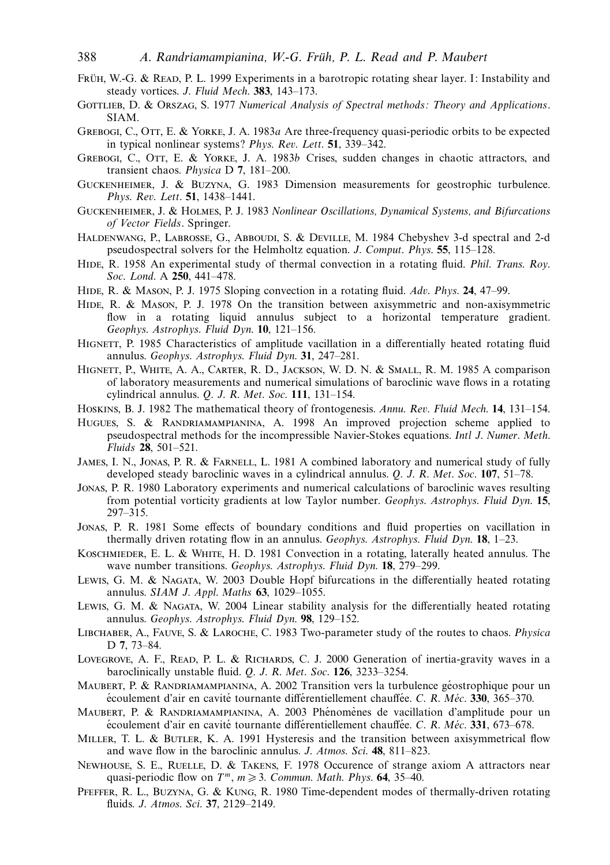- FRÜH, W.-G. & READ, P. L. 1999 Experiments in a barotropic rotating shear layer. I: Instability and steady vortices. J. Fluid Mech. **383**, 143–173.
- GOTTLIEB, D. & ORSZAG, S. 1977 Numerical Analysis of Spectral methods: Theory and Applications. SIAM.
- GREBOGI, C., OTT, E. & YORKE, J. A. 1983a Are three-frequency quasi-periodic orbits to be expected in typical nonlinear systems? Phys. Rev. Lett. **51**, 339–342.
- GREBOGI, C., OTT, E. & YORKE, J. A. 1983b Crises, sudden changes in chaotic attractors, and transient chaos. Physica D **7**, 181–200.
- Guckenheimer, J. & Buzyna, G. 1983 Dimension measurements for geostrophic turbulence. Phys. Rev. Lett. **51**, 1438–1441.
- Guckenheimer, J. & Holmes, P. J. 1983 Nonlinear Oscillations, Dynamical Systems, and Bifurcations of Vector Fields. Springer.
- Haldenwang, P., Labrosse, G., Abboudi, S. & Deville, M. 1984 Chebyshev 3-d spectral and 2-d pseudospectral solvers for the Helmholtz equation. J. Comput. Phys. **55**, 115–128.
- HIDE, R. 1958 An experimental study of thermal convection in a rotating fluid. *Phil. Trans. Roy.* Soc. Lond. A **250**, 441–478.
- Hide, R. & Mason, P. J. 1975 Sloping convection in a rotating fluid. Adv. Phys. **24**, 47–99.
- HIDE, R. & MASON, P. J. 1978. On the transition between axisymmetric and non-axisymmetric flow in a rotating liquid annulus subject to a horizontal temperature gradient. Geophys. Astrophys. Fluid Dyn. **10**, 121–156.
- HIGNETT, P. 1985 Characteristics of amplitude vacillation in a differentially heated rotating fluid annulus. Geophys. Astrophys. Fluid Dyn. **31**, 247–281.
- Hignett, P., White, A. A., Carter, R. D., Jackson, W. D. N. & Small, R. M. 1985 A comparison of laboratory measurements and numerical simulations of baroclinic wave flows in a rotating cylindrical annulus. Q. J. R. Met. Soc. **111**, 131–154.
- Hoskins, B. J. 1982 The mathematical theory of frontogenesis. Annu. Rev. Fluid Mech. **14**, 131–154.
- Hugues, S. & Randriamampianina, A. 1998 An improved projection scheme applied to pseudospectral methods for the incompressible Navier-Stokes equations. Intl J. Numer. Meth. Fluids **28**, 501–521.
- JAMES, I. N., JONAS, P. R. & FARNELL, L. 1981 A combined laboratory and numerical study of fully developed steady baroclinic waves in a cylindrical annulus. Q. J. R. Met. Soc. **107**, 51–78.
- Jonas, P. R. 1980 Laboratory experiments and numerical calculations of baroclinic waves resulting from potential vorticity gradients at low Taylor number. Geophys. Astrophys. Fluid Dyn. **15**, 297–315.
- Jonas, P. R. 1981 Some effects of boundary conditions and fluid properties on vacillation in thermally driven rotating flow in an annulus. Geophys. Astrophys. Fluid Dyn. **18**, 1–23.
- Koschmieder, E. L. & White, H. D. 1981 Convection in a rotating, laterally heated annulus. The wave number transitions. Geophys. Astrophys. Fluid Dyn. **18**, 279–299.
- Lewis, G. M. & Nagata, W. 2003 Double Hopf bifurcations in the differentially heated rotating annulus. SIAM J. Appl. Maths **63**, 1029–1055.
- Lewis, G. M. & Nagata, W. 2004 Linear stability analysis for the differentially heated rotating annulus. Geophys. Astrophys. Fluid Dyn. **98**, 129–152.
- Libchaber, A., Fauve, S. & Laroche, C. 1983 Two-parameter study of the routes to chaos. Physica D **7**, 73–84.
- LOVEGROVE, A. F., READ, P. L. & RICHARDS, C. J. 2000 Generation of inertia-gravity waves in a baroclinically unstable fluid. Q. J. R. Met. Soc. **126**, 3233–3254.
- MAUBERT, P. & RANDRIAMAMPIANINA, A. 2002 Transition vers la turbulence géostrophique pour un écoulement d'air en cavité tournante différentiellement chauffée. C. R. Méc. 330, 365–370.
- MAUBERT, P. & RANDRIAMAMPIANINA, A. 2003 Phénomènes de vacillation d'amplitude pour un écoulement d'air en cavité tournante différentiellement chauffée. C. R. Méc. 331, 673–678.
- MILLER, T. L. & BUTLER, K. A. 1991 Hysteresis and the transition between axisymmetrical flow and wave flow in the baroclinic annulus. J. Atmos. Sci. **48**, 811–823.
- Newhouse, S. E., Ruelle, D. & Takens, F. 1978 Occurence of strange axiom A attractors near quasi-periodic flow on  $T^m$ ,  $m \ge 3$ . Commun. Math. Phys. **64**, 35–40.
- Pfeffer, R. L., Buzyna, G. & Kung, R. 1980 Time-dependent modes of thermally-driven rotating fluids. J. Atmos. Sci. **37**, 2129–2149.